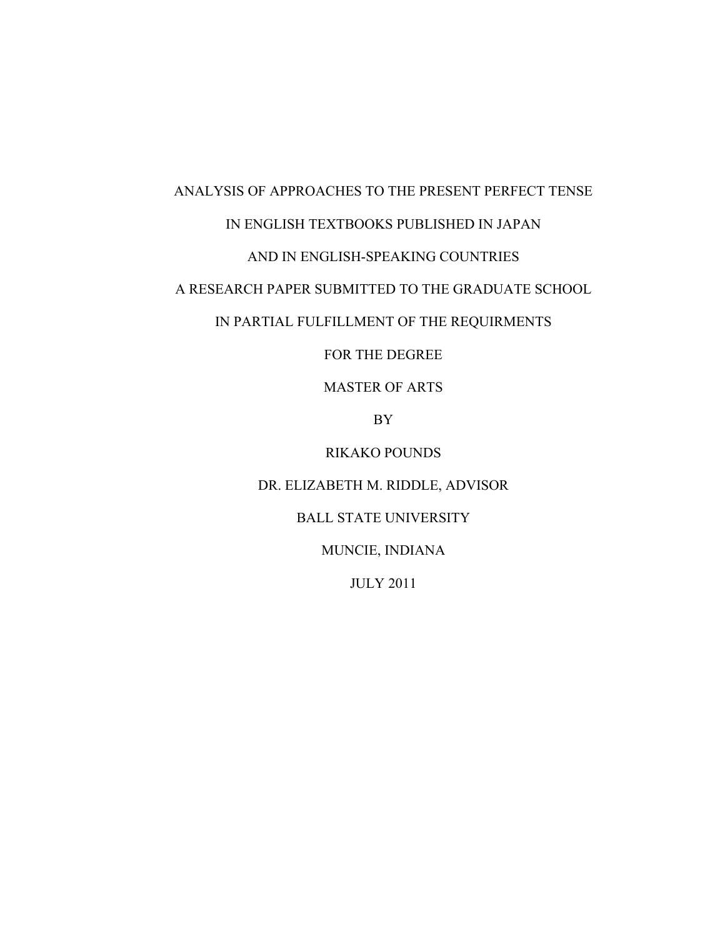# ANALYSIS OF APPROACHES TO THE PRESENT PERFECT TENSE IN ENGLISH TEXTBOOKS PUBLISHED IN JAPAN

### AND IN ENGLISH-SPEAKING COUNTRIES

## A RESEARCH PAPER SUBMITTED TO THE GRADUATE SCHOOL

## IN PARTIAL FULFILLMENT OF THE REQUIRMENTS

FOR THE DEGREE

MASTER OF ARTS

BY

RIKAKO POUNDS

DR. ELIZABETH M. RIDDLE, ADVISOR

## BALL STATE UNIVERSITY

MUNCIE, INDIANA

JULY 2011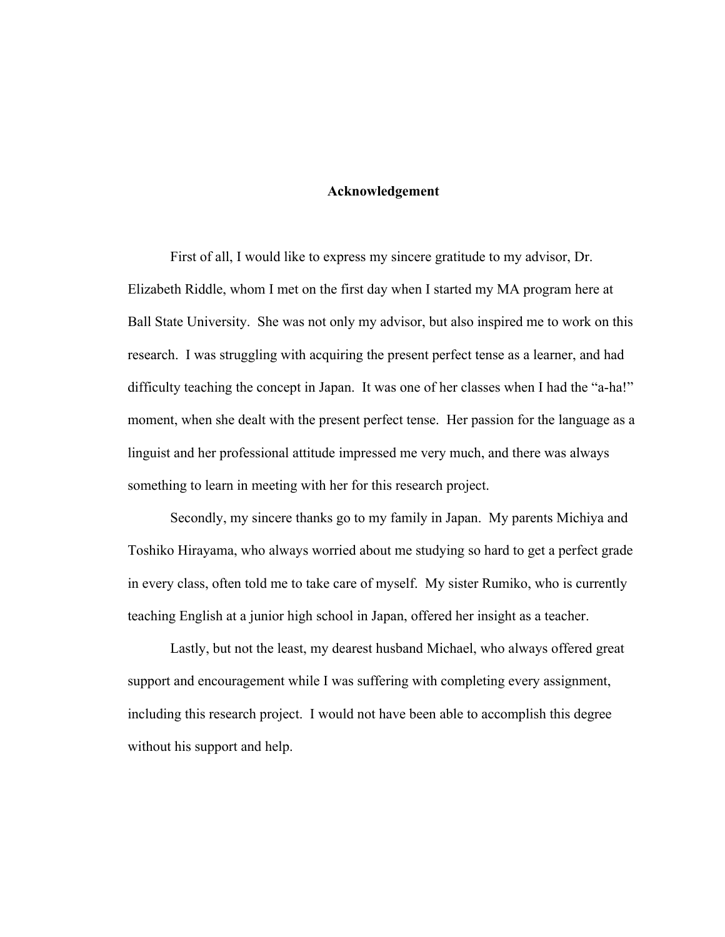### **Acknowledgement**

First of all, I would like to express my sincere gratitude to my advisor, Dr. Elizabeth Riddle, whom I met on the first day when I started my MA program here at Ball State University. She was not only my advisor, but also inspired me to work on this research. I was struggling with acquiring the present perfect tense as a learner, and had difficulty teaching the concept in Japan. It was one of her classes when I had the "a-ha!" moment, when she dealt with the present perfect tense. Her passion for the language as a linguist and her professional attitude impressed me very much, and there was always something to learn in meeting with her for this research project.

Secondly, my sincere thanks go to my family in Japan. My parents Michiya and Toshiko Hirayama, who always worried about me studying so hard to get a perfect grade in every class, often told me to take care of myself. My sister Rumiko, who is currently teaching English at a junior high school in Japan, offered her insight as a teacher.

Lastly, but not the least, my dearest husband Michael, who always offered great support and encouragement while I was suffering with completing every assignment, including this research project. I would not have been able to accomplish this degree without his support and help.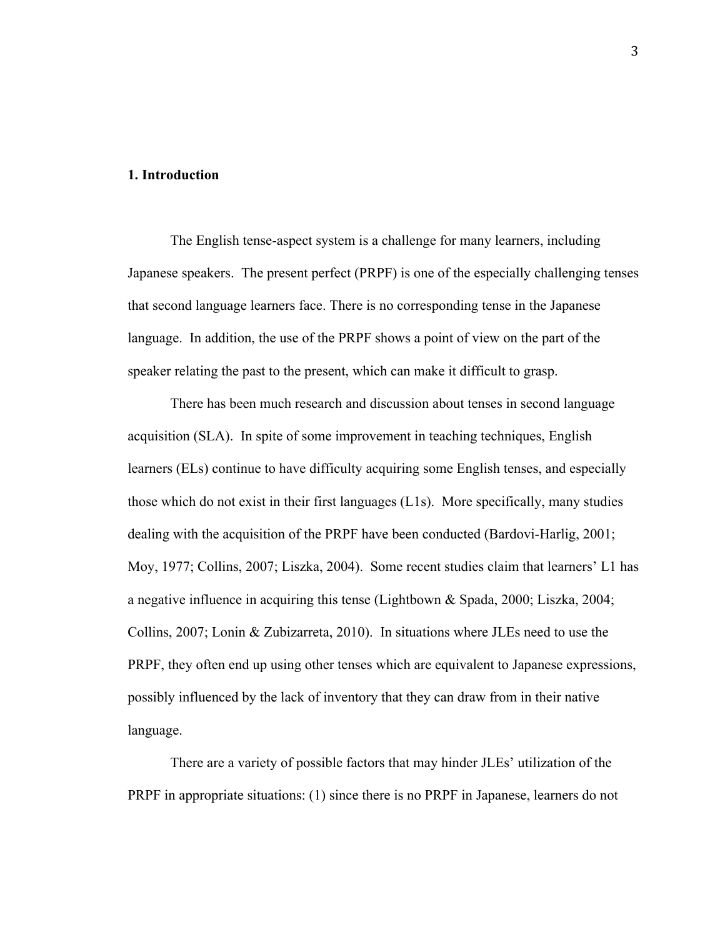### **1. Introduction**

The English tense-aspect system is a challenge for many learners, including Japanese speakers. The present perfect (PRPF) is one of the especially challenging tenses that second language learners face. There is no corresponding tense in the Japanese language. In addition, the use of the PRPF shows a point of view on the part of the speaker relating the past to the present, which can make it difficult to grasp.

There has been much research and discussion about tenses in second language acquisition (SLA). In spite of some improvement in teaching techniques, English learners (ELs) continue to have difficulty acquiring some English tenses, and especially those which do not exist in their first languages (L1s). More specifically, many studies dealing with the acquisition of the PRPF have been conducted (Bardovi-Harlig, 2001; Moy, 1977; Collins, 2007; Liszka, 2004). Some recent studies claim that learners' L1 has a negative influence in acquiring this tense (Lightbown & Spada, 2000; Liszka, 2004; Collins, 2007; Lonin & Zubizarreta, 2010). In situations where JLEs need to use the PRPF, they often end up using other tenses which are equivalent to Japanese expressions, possibly influenced by the lack of inventory that they can draw from in their native language.

There are a variety of possible factors that may hinder JLEs' utilization of the PRPF in appropriate situations: (1) since there is no PRPF in Japanese, learners do not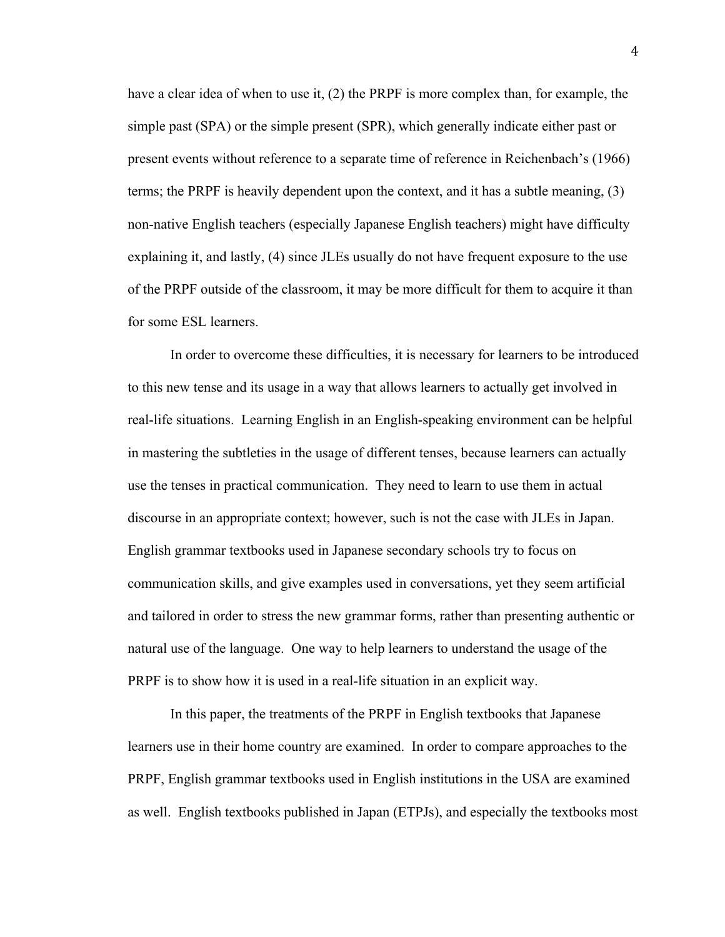have a clear idea of when to use it, (2) the PRPF is more complex than, for example, the simple past (SPA) or the simple present (SPR), which generally indicate either past or present events without reference to a separate time of reference in Reichenbach's (1966) terms; the PRPF is heavily dependent upon the context, and it has a subtle meaning, (3) non-native English teachers (especially Japanese English teachers) might have difficulty explaining it, and lastly, (4) since JLEs usually do not have frequent exposure to the use of the PRPF outside of the classroom, it may be more difficult for them to acquire it than for some ESL learners.

In order to overcome these difficulties, it is necessary for learners to be introduced to this new tense and its usage in a way that allows learners to actually get involved in real-life situations. Learning English in an English-speaking environment can be helpful in mastering the subtleties in the usage of different tenses, because learners can actually use the tenses in practical communication. They need to learn to use them in actual discourse in an appropriate context; however, such is not the case with JLEs in Japan. English grammar textbooks used in Japanese secondary schools try to focus on communication skills, and give examples used in conversations, yet they seem artificial and tailored in order to stress the new grammar forms, rather than presenting authentic or natural use of the language. One way to help learners to understand the usage of the PRPF is to show how it is used in a real-life situation in an explicit way.

In this paper, the treatments of the PRPF in English textbooks that Japanese learners use in their home country are examined. In order to compare approaches to the PRPF, English grammar textbooks used in English institutions in the USA are examined as well. English textbooks published in Japan (ETPJs), and especially the textbooks most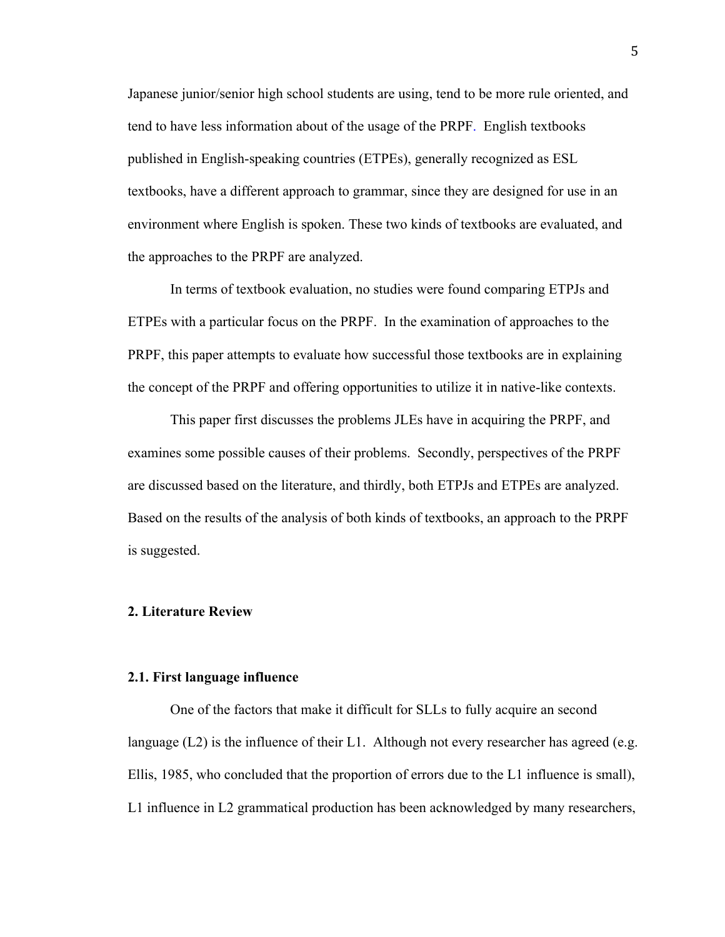Japanese junior/senior high school students are using, tend to be more rule oriented, and tend to have less information about of the usage of the PRPF. English textbooks published in English-speaking countries (ETPEs), generally recognized as ESL textbooks, have a different approach to grammar, since they are designed for use in an environment where English is spoken. These two kinds of textbooks are evaluated, and the approaches to the PRPF are analyzed.

In terms of textbook evaluation, no studies were found comparing ETPJs and ETPEs with a particular focus on the PRPF. In the examination of approaches to the PRPF, this paper attempts to evaluate how successful those textbooks are in explaining the concept of the PRPF and offering opportunities to utilize it in native-like contexts.

This paper first discusses the problems JLEs have in acquiring the PRPF, and examines some possible causes of their problems. Secondly, perspectives of the PRPF are discussed based on the literature, and thirdly, both ETPJs and ETPEs are analyzed. Based on the results of the analysis of both kinds of textbooks, an approach to the PRPF is suggested.

### **2. Literature Review**

### **2.1. First language influence**

One of the factors that make it difficult for SLLs to fully acquire an second language  $(L2)$  is the influence of their L1. Although not every researcher has agreed (e.g. Ellis, 1985, who concluded that the proportion of errors due to the L1 influence is small), L1 influence in L2 grammatical production has been acknowledged by many researchers,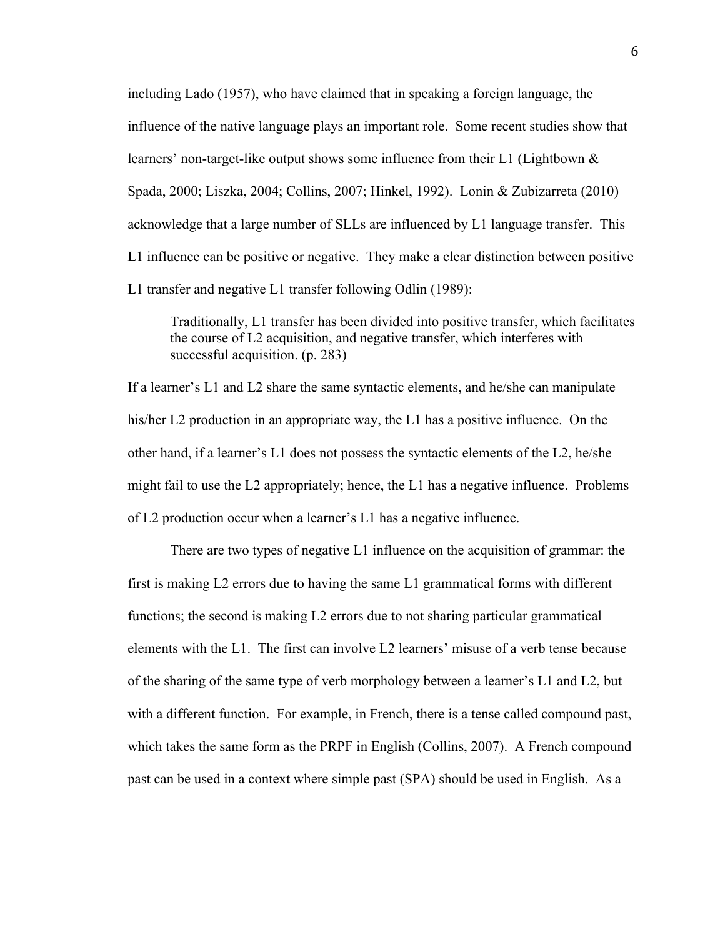including Lado (1957), who have claimed that in speaking a foreign language, the influence of the native language plays an important role. Some recent studies show that learners' non-target-like output shows some influence from their L1 (Lightbown  $\&$ Spada, 2000; Liszka, 2004; Collins, 2007; Hinkel, 1992). Lonin & Zubizarreta (2010) acknowledge that a large number of SLLs are influenced by L1 language transfer. This L1 influence can be positive or negative. They make a clear distinction between positive L1 transfer and negative L1 transfer following Odlin (1989):

Traditionally, L1 transfer has been divided into positive transfer, which facilitates the course of L2 acquisition, and negative transfer, which interferes with successful acquisition. (p. 283)

If a learner's L1 and L2 share the same syntactic elements, and he/she can manipulate his/her L2 production in an appropriate way, the L1 has a positive influence. On the other hand, if a learner's L1 does not possess the syntactic elements of the L2, he/she might fail to use the L2 appropriately; hence, the L1 has a negative influence. Problems of L2 production occur when a learner's L1 has a negative influence.

There are two types of negative L1 influence on the acquisition of grammar: the first is making L2 errors due to having the same L1 grammatical forms with different functions; the second is making L2 errors due to not sharing particular grammatical elements with the L1. The first can involve L2 learners' misuse of a verb tense because of the sharing of the same type of verb morphology between a learner's L1 and L2, but with a different function. For example, in French, there is a tense called compound past, which takes the same form as the PRPF in English (Collins, 2007). A French compound past can be used in a context where simple past (SPA) should be used in English. As a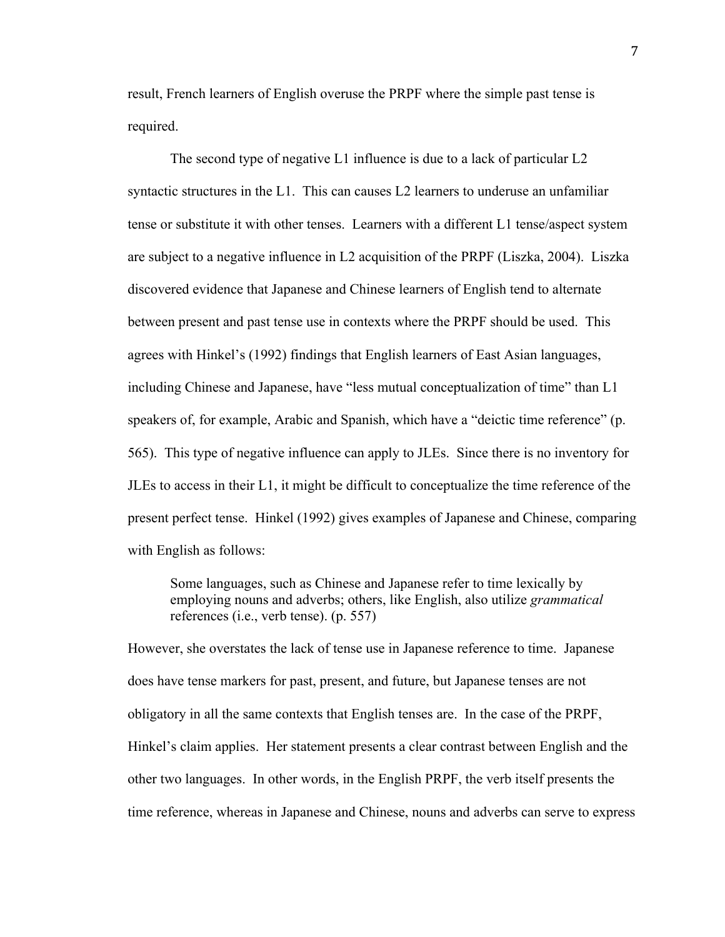result, French learners of English overuse the PRPF where the simple past tense is required.

The second type of negative L1 influence is due to a lack of particular L2 syntactic structures in the L1. This can causes L2 learners to underuse an unfamiliar tense or substitute it with other tenses. Learners with a different L1 tense/aspect system are subject to a negative influence in L2 acquisition of the PRPF (Liszka, 2004). Liszka discovered evidence that Japanese and Chinese learners of English tend to alternate between present and past tense use in contexts where the PRPF should be used. This agrees with Hinkel's (1992) findings that English learners of East Asian languages, including Chinese and Japanese, have "less mutual conceptualization of time" than L1 speakers of, for example, Arabic and Spanish, which have a "deictic time reference" (p. 565). This type of negative influence can apply to JLEs. Since there is no inventory for JLEs to access in their L1, it might be difficult to conceptualize the time reference of the present perfect tense. Hinkel (1992) gives examples of Japanese and Chinese, comparing with English as follows:

Some languages, such as Chinese and Japanese refer to time lexically by employing nouns and adverbs; others, like English, also utilize *grammatical*  references (i.e., verb tense). (p. 557)

However, she overstates the lack of tense use in Japanese reference to time. Japanese does have tense markers for past, present, and future, but Japanese tenses are not obligatory in all the same contexts that English tenses are. In the case of the PRPF, Hinkel's claim applies. Her statement presents a clear contrast between English and the other two languages. In other words, in the English PRPF, the verb itself presents the time reference, whereas in Japanese and Chinese, nouns and adverbs can serve to express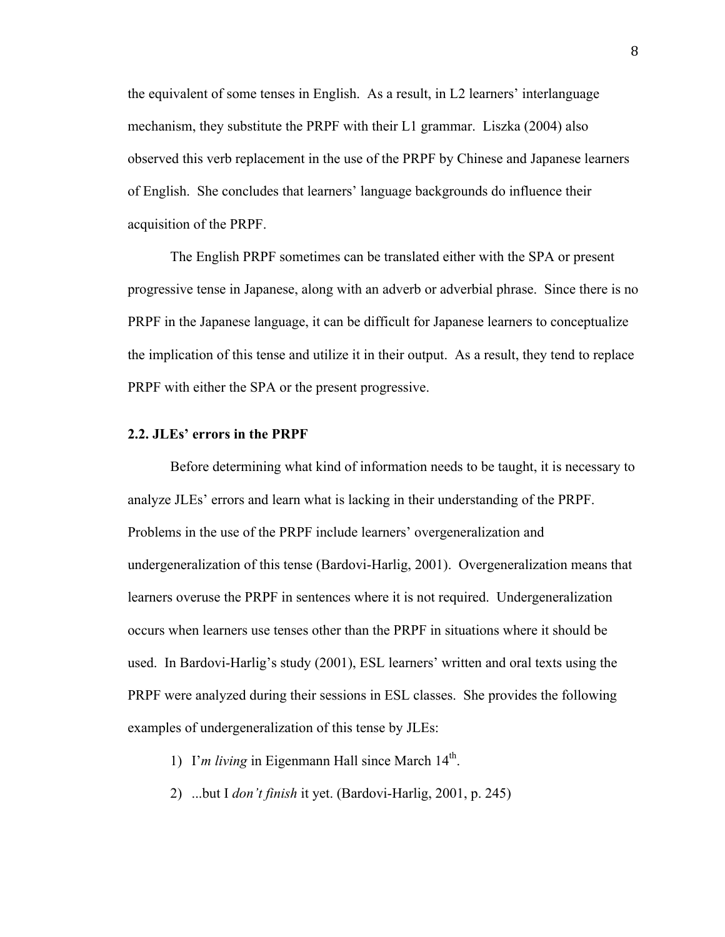the equivalent of some tenses in English. As a result, in L2 learners' interlanguage mechanism, they substitute the PRPF with their L1 grammar. Liszka (2004) also observed this verb replacement in the use of the PRPF by Chinese and Japanese learners of English. She concludes that learners' language backgrounds do influence their acquisition of the PRPF.

The English PRPF sometimes can be translated either with the SPA or present progressive tense in Japanese, along with an adverb or adverbial phrase. Since there is no PRPF in the Japanese language, it can be difficult for Japanese learners to conceptualize the implication of this tense and utilize it in their output. As a result, they tend to replace PRPF with either the SPA or the present progressive.

### **2.2. JLEs' errors in the PRPF**

Before determining what kind of information needs to be taught, it is necessary to analyze JLEs' errors and learn what is lacking in their understanding of the PRPF. Problems in the use of the PRPF include learners' overgeneralization and undergeneralization of this tense (Bardovi-Harlig, 2001). Overgeneralization means that learners overuse the PRPF in sentences where it is not required. Undergeneralization occurs when learners use tenses other than the PRPF in situations where it should be used. In Bardovi-Harlig's study (2001), ESL learners' written and oral texts using the PRPF were analyzed during their sessions in ESL classes. She provides the following examples of undergeneralization of this tense by JLEs:

- 1) I'*m living* in Eigenmann Hall since March 14<sup>th</sup>.
- 2) ...but I *don't finish* it yet. (Bardovi-Harlig, 2001, p. 245)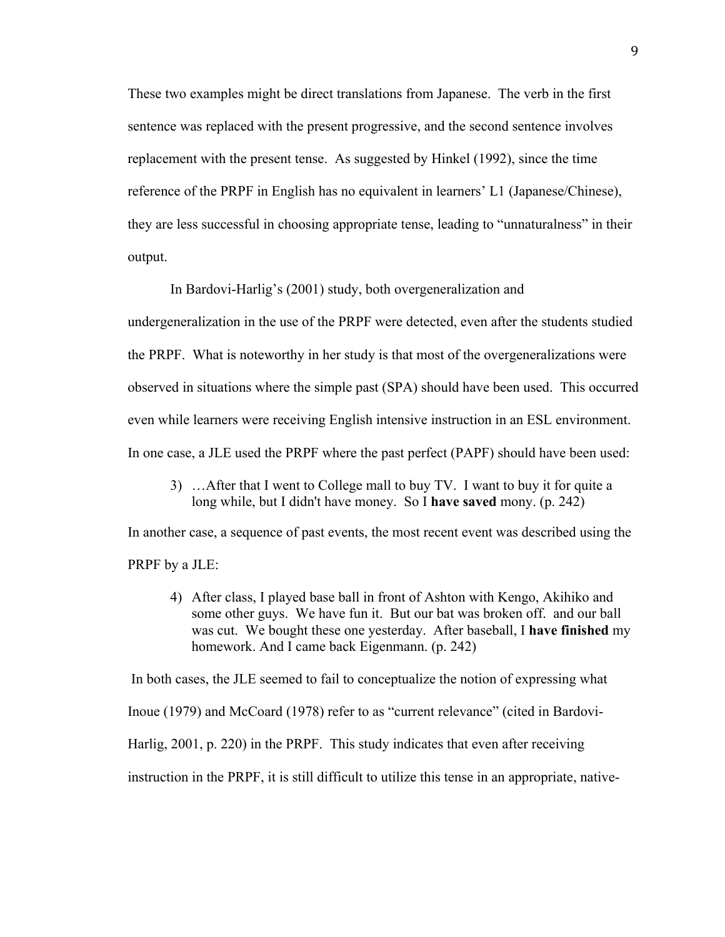These two examples might be direct translations from Japanese. The verb in the first sentence was replaced with the present progressive, and the second sentence involves replacement with the present tense. As suggested by Hinkel (1992), since the time reference of the PRPF in English has no equivalent in learners' L1 (Japanese/Chinese), they are less successful in choosing appropriate tense, leading to "unnaturalness" in their output.

In Bardovi-Harlig's (2001) study, both overgeneralization and

undergeneralization in the use of the PRPF were detected, even after the students studied the PRPF. What is noteworthy in her study is that most of the overgeneralizations were observed in situations where the simple past (SPA) should have been used. This occurred even while learners were receiving English intensive instruction in an ESL environment. In one case, a JLE used the PRPF where the past perfect (PAPF) should have been used:

3) …After that I went to College mall to buy TV. I want to buy it for quite a long while, but I didn't have money. So I **have saved** mony. (p. 242)

In another case, a sequence of past events, the most recent event was described using the PRPF by a JLE:

4) After class, I played base ball in front of Ashton with Kengo, Akihiko and some other guys. We have fun it. But our bat was broken off. and our ball was cut. We bought these one yesterday. After baseball, I **have finished** my homework. And I came back Eigenmann. (p. 242)

In both cases, the JLE seemed to fail to conceptualize the notion of expressing what

Inoue (1979) and McCoard (1978) refer to as "current relevance" (cited in Bardovi-

Harlig, 2001, p. 220) in the PRPF. This study indicates that even after receiving

instruction in the PRPF, it is still difficult to utilize this tense in an appropriate, native-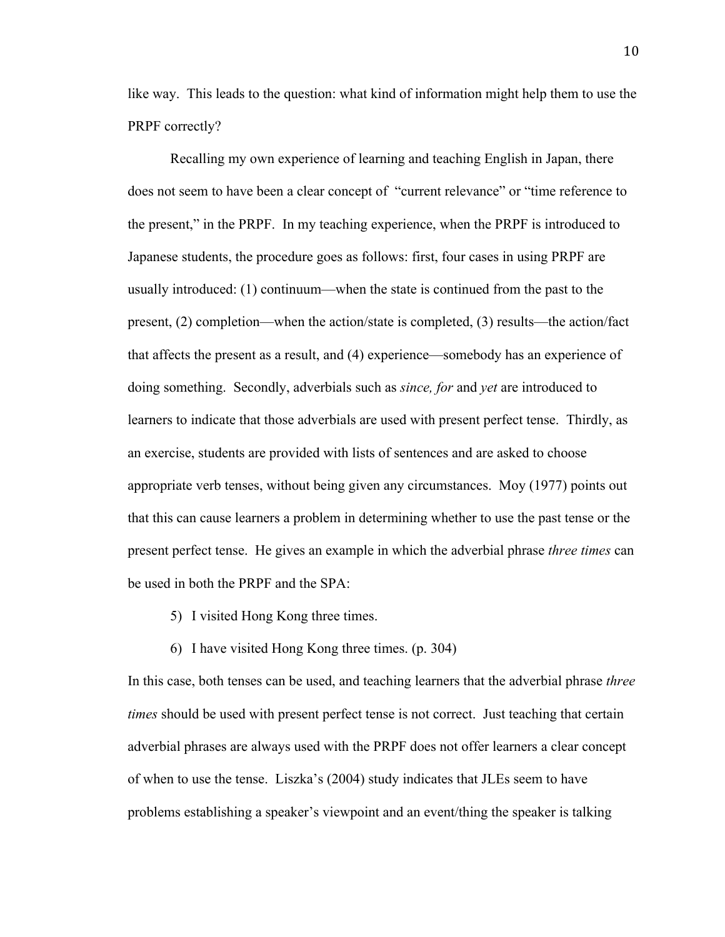like way. This leads to the question: what kind of information might help them to use the PRPF correctly?

Recalling my own experience of learning and teaching English in Japan, there does not seem to have been a clear concept of "current relevance" or "time reference to the present," in the PRPF. In my teaching experience, when the PRPF is introduced to Japanese students, the procedure goes as follows: first, four cases in using PRPF are usually introduced: (1) continuum—when the state is continued from the past to the present, (2) completion—when the action/state is completed, (3) results—the action/fact that affects the present as a result, and (4) experience—somebody has an experience of doing something. Secondly, adverbials such as *since, for* and *yet* are introduced to learners to indicate that those adverbials are used with present perfect tense. Thirdly, as an exercise, students are provided with lists of sentences and are asked to choose appropriate verb tenses, without being given any circumstances. Moy (1977) points out that this can cause learners a problem in determining whether to use the past tense or the present perfect tense. He gives an example in which the adverbial phrase *three times* can be used in both the PRPF and the SPA:

- 5) I visited Hong Kong three times.
- 6) I have visited Hong Kong three times. (p. 304)

In this case, both tenses can be used, and teaching learners that the adverbial phrase *three times* should be used with present perfect tense is not correct. Just teaching that certain adverbial phrases are always used with the PRPF does not offer learners a clear concept of when to use the tense. Liszka's (2004) study indicates that JLEs seem to have problems establishing a speaker's viewpoint and an event/thing the speaker is talking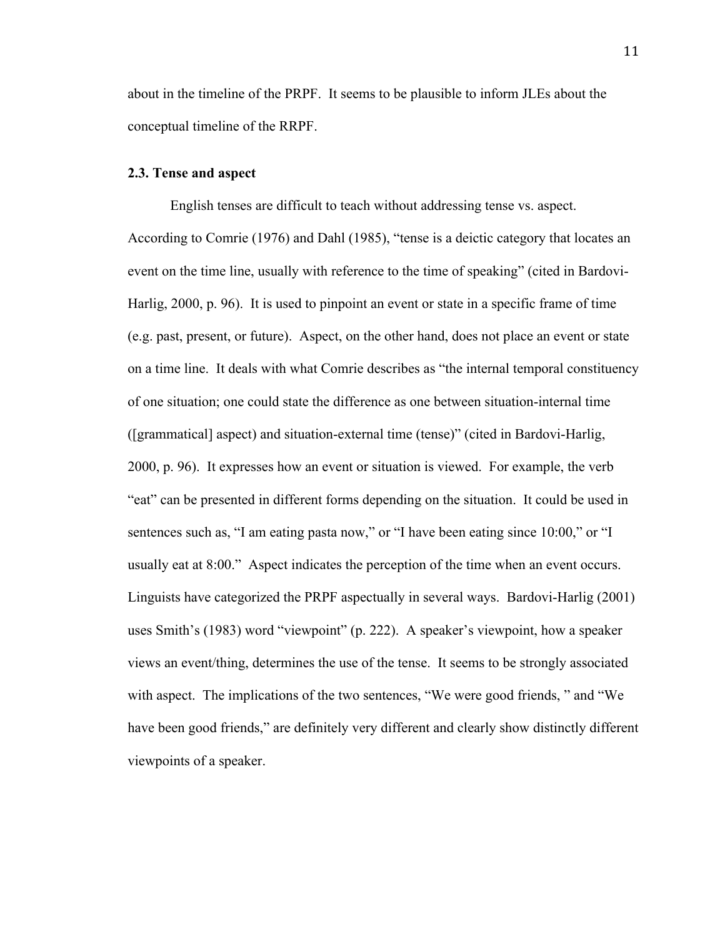about in the timeline of the PRPF. It seems to be plausible to inform JLEs about the conceptual timeline of the RRPF.

### **2.3. Tense and aspect**

English tenses are difficult to teach without addressing tense vs. aspect. According to Comrie (1976) and Dahl (1985), "tense is a deictic category that locates an event on the time line, usually with reference to the time of speaking" (cited in Bardovi-Harlig, 2000, p. 96). It is used to pinpoint an event or state in a specific frame of time (e.g. past, present, or future). Aspect, on the other hand, does not place an event or state on a time line. It deals with what Comrie describes as "the internal temporal constituency of one situation; one could state the difference as one between situation-internal time ([grammatical] aspect) and situation-external time (tense)" (cited in Bardovi-Harlig, 2000, p. 96). It expresses how an event or situation is viewed. For example, the verb "eat" can be presented in different forms depending on the situation. It could be used in sentences such as, "I am eating pasta now," or "I have been eating since 10:00," or "I usually eat at 8:00." Aspect indicates the perception of the time when an event occurs. Linguists have categorized the PRPF aspectually in several ways. Bardovi-Harlig (2001) uses Smith's (1983) word "viewpoint" (p. 222). A speaker's viewpoint, how a speaker views an event/thing, determines the use of the tense. It seems to be strongly associated with aspect. The implications of the two sentences, "We were good friends, " and "We have been good friends," are definitely very different and clearly show distinctly different viewpoints of a speaker.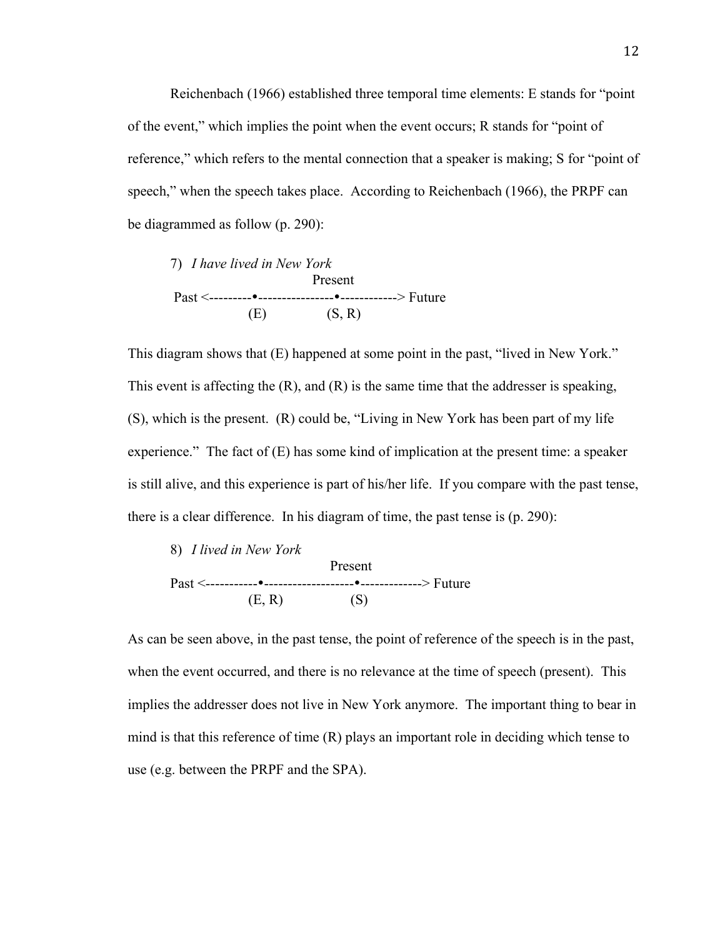Reichenbach (1966) established three temporal time elements: E stands for "point of the event," which implies the point when the event occurs; R stands for "point of reference," which refers to the mental connection that a speaker is making; S for "point of speech," when the speech takes place. According to Reichenbach (1966), the PRPF can be diagrammed as follow (p. 290):



This diagram shows that (E) happened at some point in the past, "lived in New York." This event is affecting the (R), and (R) is the same time that the addresser is speaking, (S), which is the present. (R) could be, "Living in New York has been part of my life experience." The fact of (E) has some kind of implication at the present time: a speaker is still alive, and this experience is part of his/her life. If you compare with the past tense, there is a clear difference. In his diagram of time, the past tense is (p. 290):



As can be seen above, in the past tense, the point of reference of the speech is in the past, when the event occurred, and there is no relevance at the time of speech (present). This implies the addresser does not live in New York anymore. The important thing to bear in mind is that this reference of time (R) plays an important role in deciding which tense to use (e.g. between the PRPF and the SPA).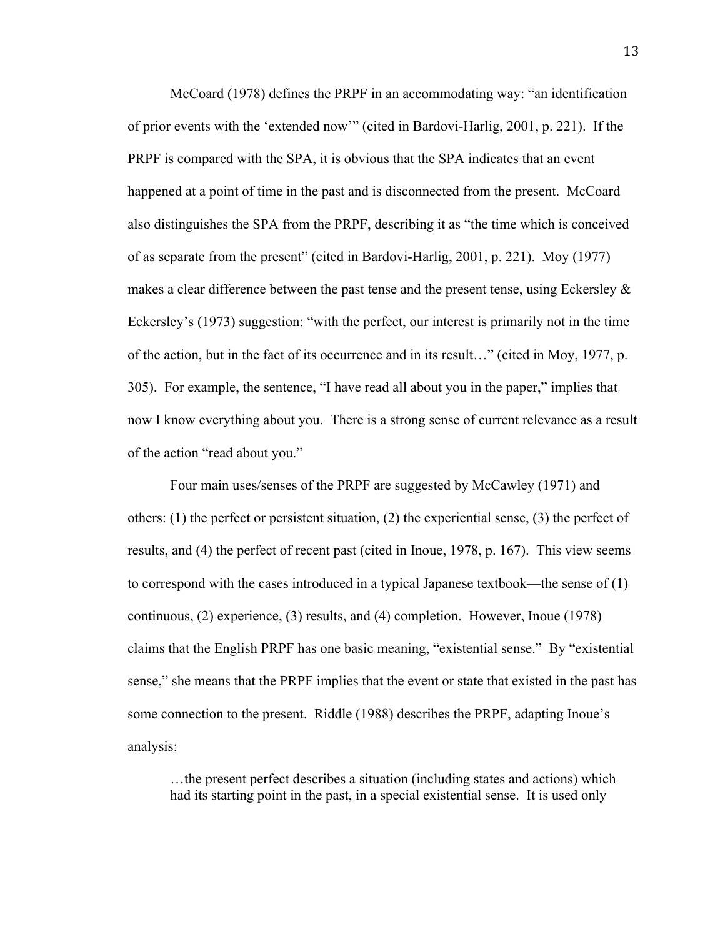McCoard (1978) defines the PRPF in an accommodating way: "an identification of prior events with the 'extended now'" (cited in Bardovi-Harlig, 2001, p. 221). If the PRPF is compared with the SPA, it is obvious that the SPA indicates that an event happened at a point of time in the past and is disconnected from the present. McCoard also distinguishes the SPA from the PRPF, describing it as "the time which is conceived of as separate from the present" (cited in Bardovi-Harlig, 2001, p. 221). Moy (1977) makes a clear difference between the past tense and the present tense, using Eckersley & Eckersley's (1973) suggestion: "with the perfect, our interest is primarily not in the time of the action, but in the fact of its occurrence and in its result…" (cited in Moy, 1977, p. 305). For example, the sentence, "I have read all about you in the paper," implies that now I know everything about you. There is a strong sense of current relevance as a result of the action "read about you."

Four main uses/senses of the PRPF are suggested by McCawley (1971) and others:  $(1)$  the perfect or persistent situation,  $(2)$  the experiential sense,  $(3)$  the perfect of results, and (4) the perfect of recent past (cited in Inoue, 1978, p. 167). This view seems to correspond with the cases introduced in a typical Japanese textbook—the sense of (1) continuous, (2) experience, (3) results, and (4) completion. However, Inoue (1978) claims that the English PRPF has one basic meaning, "existential sense." By "existential sense," she means that the PRPF implies that the event or state that existed in the past has some connection to the present. Riddle (1988) describes the PRPF, adapting Inoue's analysis:

…the present perfect describes a situation (including states and actions) which had its starting point in the past, in a special existential sense. It is used only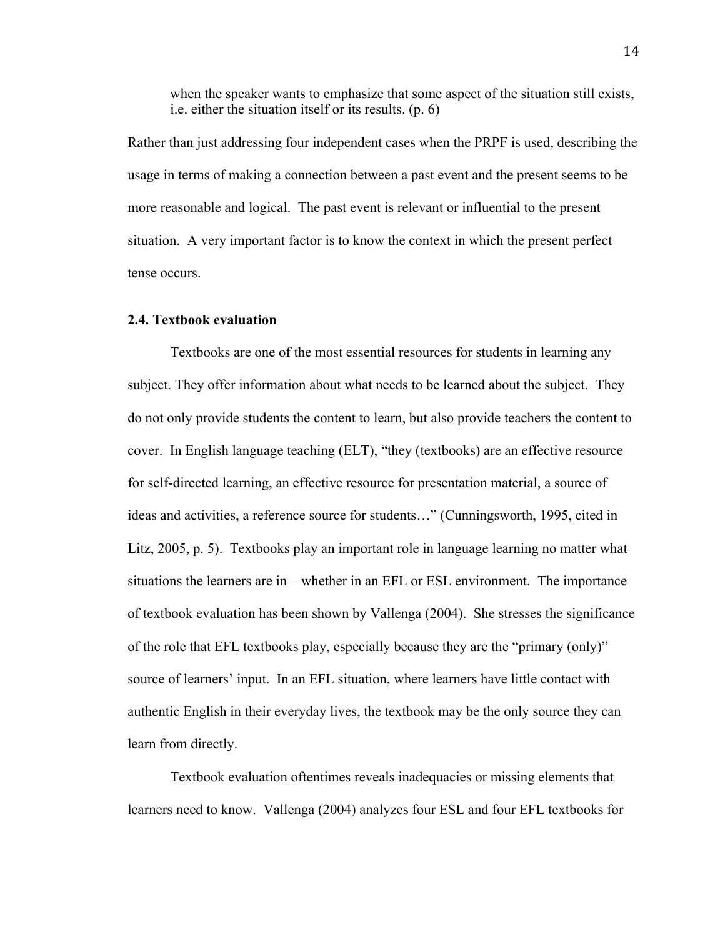when the speaker wants to emphasize that some aspect of the situation still exists, i.e. either the situation itself or its results. (p. 6)

Rather than just addressing four independent cases when the PRPF is used, describing the usage in terms of making a connection between a past event and the present seems to be more reasonable and logical. The past event is relevant or influential to the present situation. A very important factor is to know the context in which the present perfect tense occurs.

### **2.4. Textbook evaluation**

Textbooks are one of the most essential resources for students in learning any subject. They offer information about what needs to be learned about the subject. They do not only provide students the content to learn, but also provide teachers the content to cover. In English language teaching (ELT), "they (textbooks) are an effective resource for self-directed learning, an effective resource for presentation material, a source of ideas and activities, a reference source for students…" (Cunningsworth, 1995, cited in Litz, 2005, p. 5). Textbooks play an important role in language learning no matter what situations the learners are in—whether in an EFL or ESL environment. The importance of textbook evaluation has been shown by Vallenga (2004). She stresses the significance of the role that EFL textbooks play, especially because they are the "primary (only)" source of learners' input. In an EFL situation, where learners have little contact with authentic English in their everyday lives, the textbook may be the only source they can learn from directly.

Textbook evaluation oftentimes reveals inadequacies or missing elements that learners need to know. Vallenga (2004) analyzes four ESL and four EFL textbooks for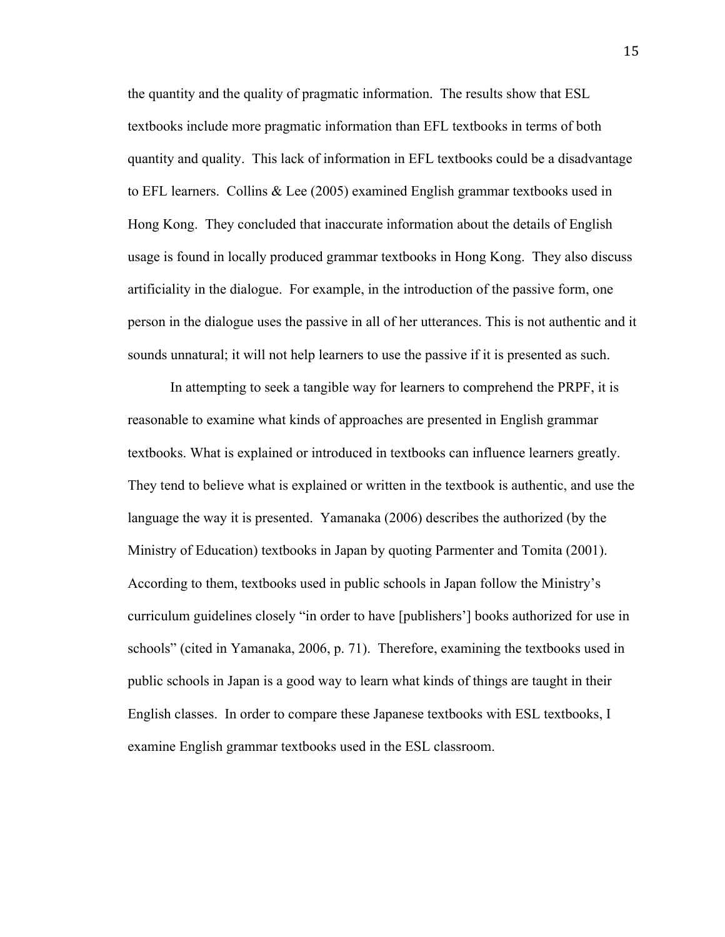the quantity and the quality of pragmatic information. The results show that ESL textbooks include more pragmatic information than EFL textbooks in terms of both quantity and quality. This lack of information in EFL textbooks could be a disadvantage to EFL learners. Collins & Lee (2005) examined English grammar textbooks used in Hong Kong. They concluded that inaccurate information about the details of English usage is found in locally produced grammar textbooks in Hong Kong. They also discuss artificiality in the dialogue. For example, in the introduction of the passive form, one person in the dialogue uses the passive in all of her utterances. This is not authentic and it sounds unnatural; it will not help learners to use the passive if it is presented as such.

In attempting to seek a tangible way for learners to comprehend the PRPF, it is reasonable to examine what kinds of approaches are presented in English grammar textbooks. What is explained or introduced in textbooks can influence learners greatly. They tend to believe what is explained or written in the textbook is authentic, and use the language the way it is presented. Yamanaka (2006) describes the authorized (by the Ministry of Education) textbooks in Japan by quoting Parmenter and Tomita (2001). According to them, textbooks used in public schools in Japan follow the Ministry's curriculum guidelines closely "in order to have [publishers'] books authorized for use in schools" (cited in Yamanaka, 2006, p. 71). Therefore, examining the textbooks used in public schools in Japan is a good way to learn what kinds of things are taught in their English classes. In order to compare these Japanese textbooks with ESL textbooks, I examine English grammar textbooks used in the ESL classroom.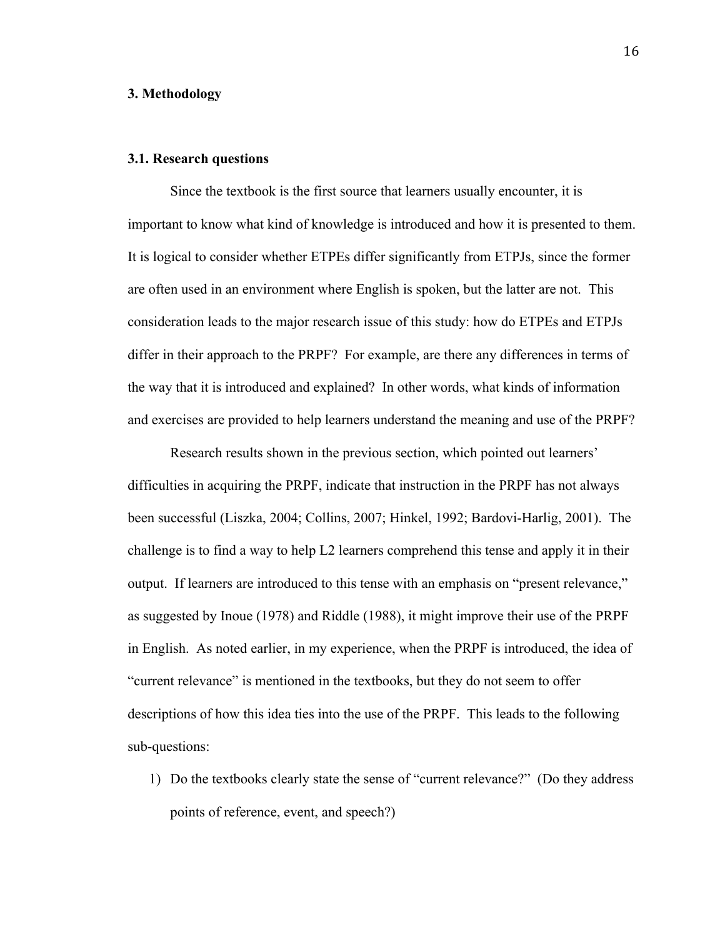### **3. Methodology**

### **3.1. Research questions**

Since the textbook is the first source that learners usually encounter, it is important to know what kind of knowledge is introduced and how it is presented to them. It is logical to consider whether ETPEs differ significantly from ETPJs, since the former are often used in an environment where English is spoken, but the latter are not. This consideration leads to the major research issue of this study: how do ETPEs and ETPJs differ in their approach to the PRPF? For example, are there any differences in terms of the way that it is introduced and explained? In other words, what kinds of information and exercises are provided to help learners understand the meaning and use of the PRPF?

Research results shown in the previous section, which pointed out learners' difficulties in acquiring the PRPF, indicate that instruction in the PRPF has not always been successful (Liszka, 2004; Collins, 2007; Hinkel, 1992; Bardovi-Harlig, 2001). The challenge is to find a way to help L2 learners comprehend this tense and apply it in their output. If learners are introduced to this tense with an emphasis on "present relevance," as suggested by Inoue (1978) and Riddle (1988), it might improve their use of the PRPF in English. As noted earlier, in my experience, when the PRPF is introduced, the idea of "current relevance" is mentioned in the textbooks, but they do not seem to offer descriptions of how this idea ties into the use of the PRPF. This leads to the following sub-questions:

1) Do the textbooks clearly state the sense of "current relevance?" (Do they address points of reference, event, and speech?)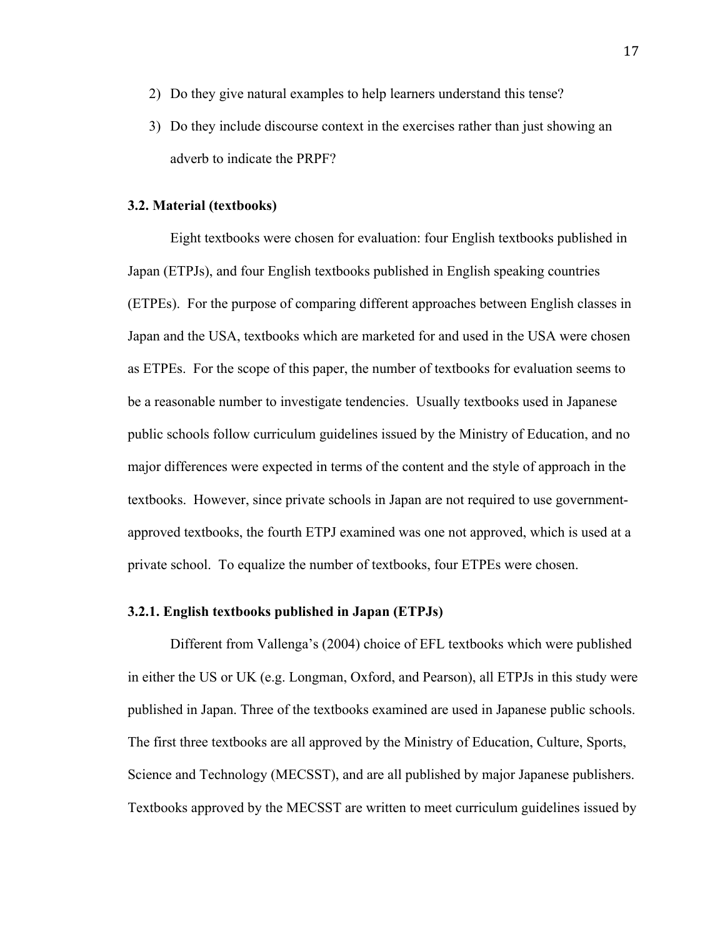- 2) Do they give natural examples to help learners understand this tense?
- 3) Do they include discourse context in the exercises rather than just showing an adverb to indicate the PRPF?

### **3.2. Material (textbooks)**

Eight textbooks were chosen for evaluation: four English textbooks published in Japan (ETPJs), and four English textbooks published in English speaking countries (ETPEs). For the purpose of comparing different approaches between English classes in Japan and the USA, textbooks which are marketed for and used in the USA were chosen as ETPEs. For the scope of this paper, the number of textbooks for evaluation seems to be a reasonable number to investigate tendencies. Usually textbooks used in Japanese public schools follow curriculum guidelines issued by the Ministry of Education, and no major differences were expected in terms of the content and the style of approach in the textbooks. However, since private schools in Japan are not required to use governmentapproved textbooks, the fourth ETPJ examined was one not approved, which is used at a private school. To equalize the number of textbooks, four ETPEs were chosen.

### **3.2.1. English textbooks published in Japan (ETPJs)**

Different from Vallenga's (2004) choice of EFL textbooks which were published in either the US or UK (e.g. Longman, Oxford, and Pearson), all ETPJs in this study were published in Japan. Three of the textbooks examined are used in Japanese public schools. The first three textbooks are all approved by the Ministry of Education, Culture, Sports, Science and Technology (MECSST), and are all published by major Japanese publishers. Textbooks approved by the MECSST are written to meet curriculum guidelines issued by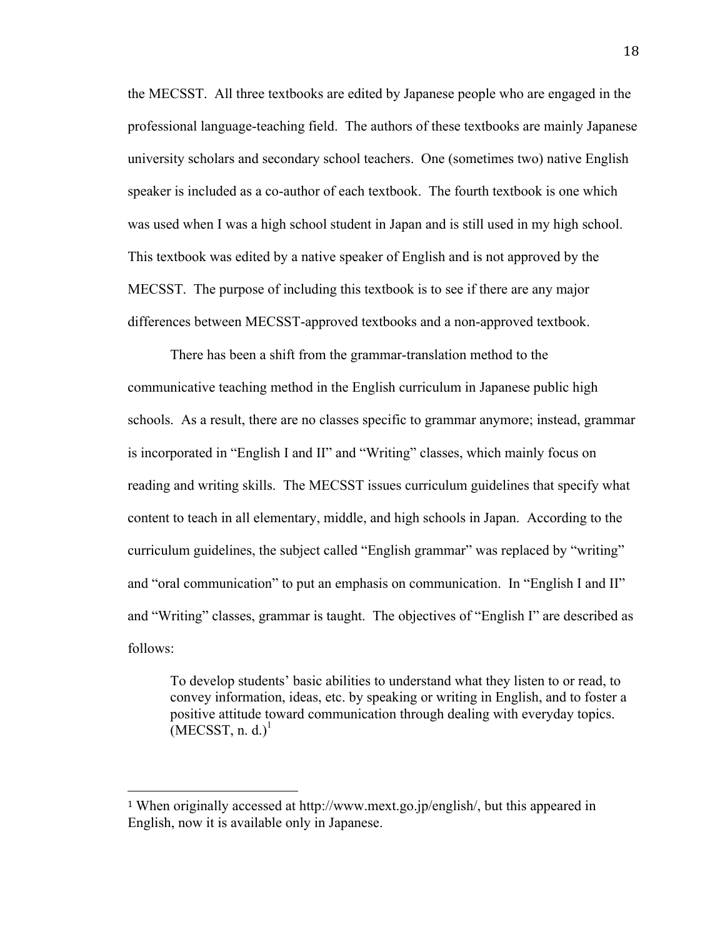the MECSST. All three textbooks are edited by Japanese people who are engaged in the professional language-teaching field. The authors of these textbooks are mainly Japanese university scholars and secondary school teachers. One (sometimes two) native English speaker is included as a co-author of each textbook. The fourth textbook is one which was used when I was a high school student in Japan and is still used in my high school. This textbook was edited by a native speaker of English and is not approved by the MECSST. The purpose of including this textbook is to see if there are any major differences between MECSST-approved textbooks and a non-approved textbook.

There has been a shift from the grammar-translation method to the communicative teaching method in the English curriculum in Japanese public high schools. As a result, there are no classes specific to grammar anymore; instead, grammar is incorporated in "English I and II" and "Writing" classes, which mainly focus on reading and writing skills. The MECSST issues curriculum guidelines that specify what content to teach in all elementary, middle, and high schools in Japan. According to the curriculum guidelines, the subject called "English grammar" was replaced by "writing" and "oral communication" to put an emphasis on communication. In "English I and II" and "Writing" classes, grammar is taught. The objectives of "English I" are described as follows:

To develop students' basic abilities to understand what they listen to or read, to convey information, ideas, etc. by speaking or writing in English, and to foster a positive attitude toward communication through dealing with everyday topics.  $(MECSST, n. d.)<sup>1</sup>$ 

!!!!!!!!!!!!!!!!!!!!!!!!!!!!!!!!!!!!!!!!!!!!!!!!!!!!!!!

<sup>1</sup> When originally accessed at http://www.mext.go.jp/english/, but this appeared in English, now it is available only in Japanese.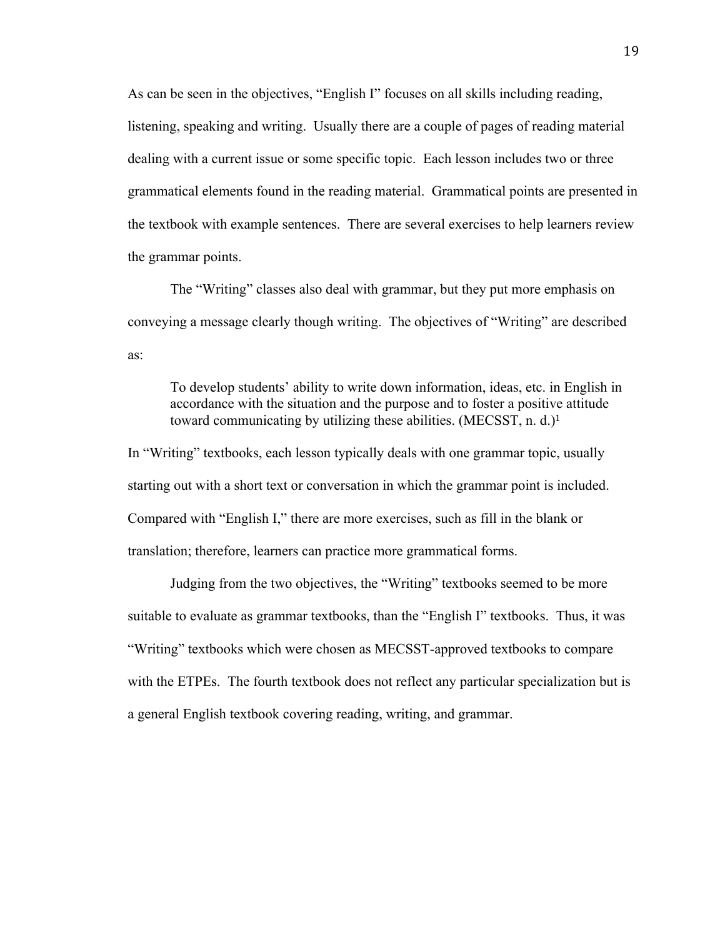As can be seen in the objectives, "English I" focuses on all skills including reading, listening, speaking and writing. Usually there are a couple of pages of reading material dealing with a current issue or some specific topic. Each lesson includes two or three grammatical elements found in the reading material. Grammatical points are presented in the textbook with example sentences. There are several exercises to help learners review the grammar points.

The "Writing" classes also deal with grammar, but they put more emphasis on conveying a message clearly though writing. The objectives of "Writing" are described as:

To develop students' ability to write down information, ideas, etc. in English in accordance with the situation and the purpose and to foster a positive attitude toward communicating by utilizing these abilities. (MECSST, n. d.)<sup>1</sup>

In "Writing" textbooks, each lesson typically deals with one grammar topic, usually starting out with a short text or conversation in which the grammar point is included. Compared with "English I," there are more exercises, such as fill in the blank or translation; therefore, learners can practice more grammatical forms.

Judging from the two objectives, the "Writing" textbooks seemed to be more suitable to evaluate as grammar textbooks, than the "English I" textbooks. Thus, it was "Writing" textbooks which were chosen as MECSST-approved textbooks to compare with the ETPEs. The fourth textbook does not reflect any particular specialization but is a general English textbook covering reading, writing, and grammar.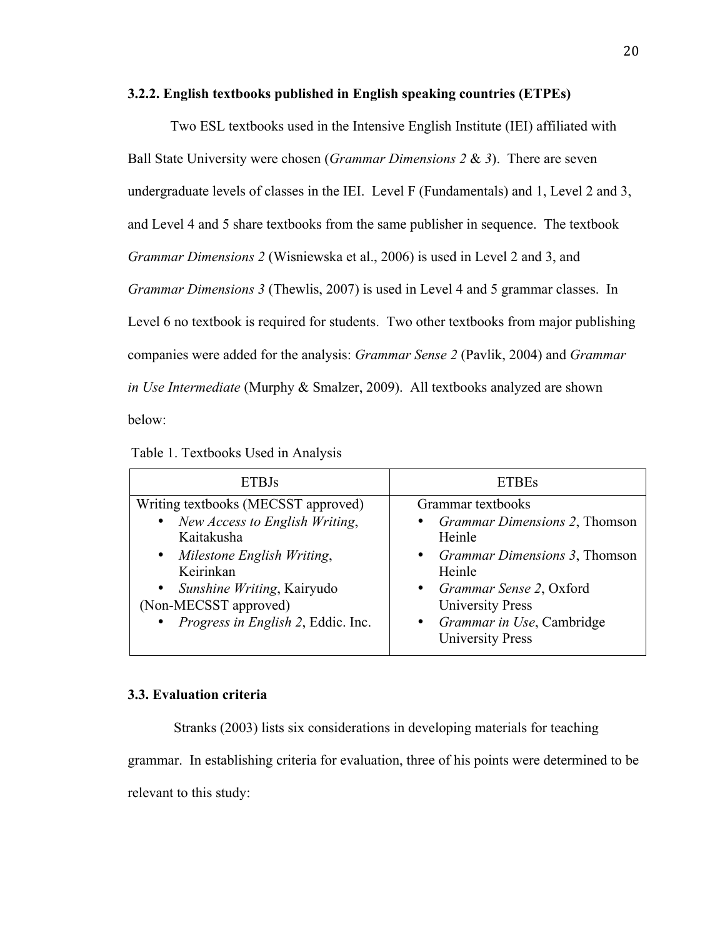### **3.2.2. English textbooks published in English speaking countries (ETPEs)**

Two ESL textbooks used in the Intensive English Institute (IEI) affiliated with Ball State University were chosen (*Grammar Dimensions 2* & *3*). There are seven undergraduate levels of classes in the IEI. Level F (Fundamentals) and 1, Level 2 and 3, and Level 4 and 5 share textbooks from the same publisher in sequence. The textbook *Grammar Dimensions 2* (Wisniewska et al., 2006) is used in Level 2 and 3, and *Grammar Dimensions 3* (Thewlis, 2007) is used in Level 4 and 5 grammar classes. In Level 6 no textbook is required for students. Two other textbooks from major publishing companies were added for the analysis: *Grammar Sense 2* (Pavlik, 2004) and *Grammar in Use Intermediate* (Murphy & Smalzer, 2009). All textbooks analyzed are shown below:

| <b>ETBJs</b>                                                                                                                                                                                                                                   | <b>ETBEs</b>                                                                                                                                                                                                                                             |  |  |
|------------------------------------------------------------------------------------------------------------------------------------------------------------------------------------------------------------------------------------------------|----------------------------------------------------------------------------------------------------------------------------------------------------------------------------------------------------------------------------------------------------------|--|--|
| Writing textbooks (MECSST approved)<br>New Access to English Writing,<br>$\bullet$<br>Kaitakusha<br>• Milestone English Writing,<br>Keirinkan<br>• Sunshine Writing, Kairyudo<br>(Non-MECSST approved)<br>• Progress in English 2, Eddic. Inc. | Grammar textbooks<br><i>Grammar Dimensions 2, Thomson</i><br>Heinle<br><i>Grammar Dimensions 3, Thomson</i><br>$\bullet$<br>Heinle<br><i>Grammar Sense 2</i> , Oxford<br><b>University Press</b><br>Grammar in Use, Cambridge<br><b>University Press</b> |  |  |

### **3.3. Evaluation criteria**

Stranks (2003) lists six considerations in developing materials for teaching grammar. In establishing criteria for evaluation, three of his points were determined to be relevant to this study: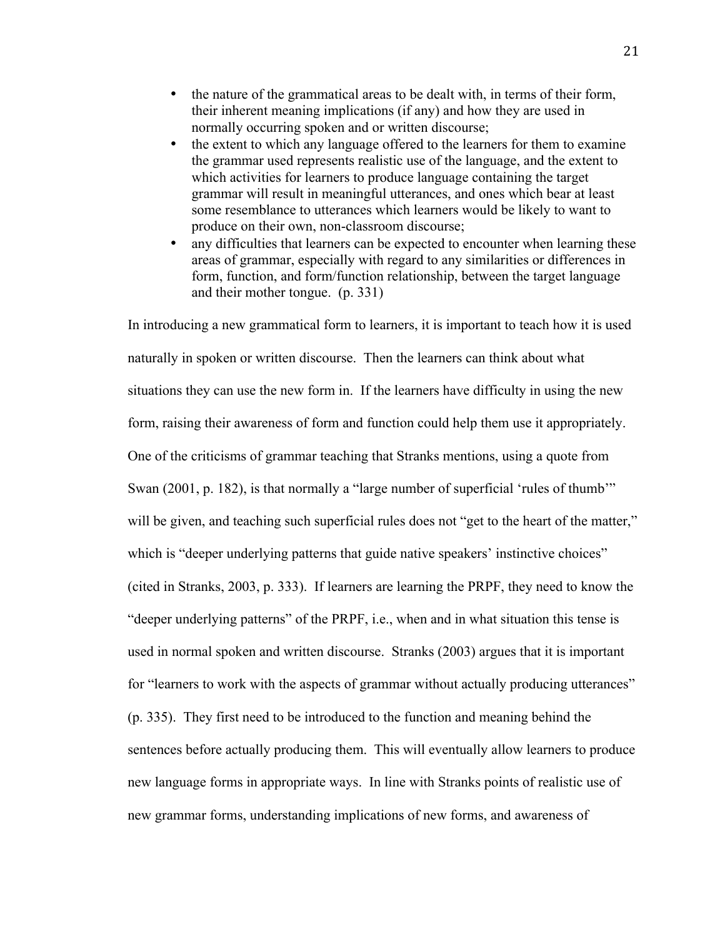- the nature of the grammatical areas to be dealt with, in terms of their form, their inherent meaning implications (if any) and how they are used in normally occurring spoken and or written discourse;
- the extent to which any language offered to the learners for them to examine the grammar used represents realistic use of the language, and the extent to which activities for learners to produce language containing the target grammar will result in meaningful utterances, and ones which bear at least some resemblance to utterances which learners would be likely to want to produce on their own, non-classroom discourse;
- any difficulties that learners can be expected to encounter when learning these areas of grammar, especially with regard to any similarities or differences in form, function, and form/function relationship, between the target language and their mother tongue. (p. 331)

In introducing a new grammatical form to learners, it is important to teach how it is used naturally in spoken or written discourse. Then the learners can think about what situations they can use the new form in. If the learners have difficulty in using the new form, raising their awareness of form and function could help them use it appropriately. One of the criticisms of grammar teaching that Stranks mentions, using a quote from Swan (2001, p. 182), is that normally a "large number of superficial 'rules of thumb'" will be given, and teaching such superficial rules does not "get to the heart of the matter," which is "deeper underlying patterns that guide native speakers' instinctive choices" (cited in Stranks, 2003, p. 333). If learners are learning the PRPF, they need to know the "deeper underlying patterns" of the PRPF, i.e., when and in what situation this tense is used in normal spoken and written discourse. Stranks (2003) argues that it is important for "learners to work with the aspects of grammar without actually producing utterances" (p. 335). They first need to be introduced to the function and meaning behind the sentences before actually producing them. This will eventually allow learners to produce new language forms in appropriate ways. In line with Stranks points of realistic use of new grammar forms, understanding implications of new forms, and awareness of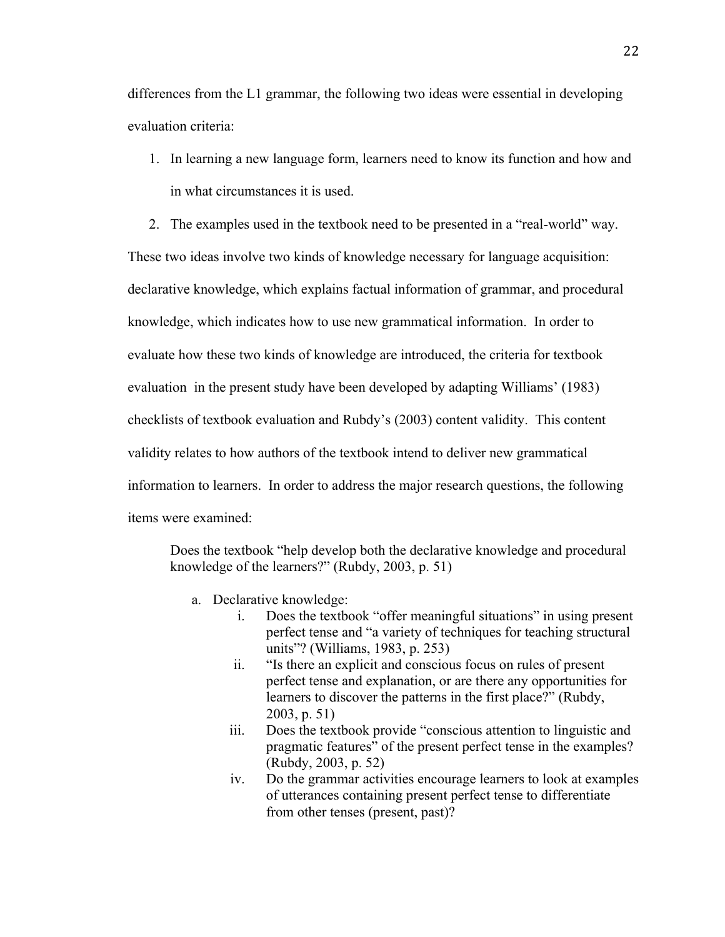differences from the L1 grammar, the following two ideas were essential in developing evaluation criteria:

- 1. In learning a new language form, learners need to know its function and how and in what circumstances it is used.
- 2. The examples used in the textbook need to be presented in a "real-world" way.

These two ideas involve two kinds of knowledge necessary for language acquisition: declarative knowledge, which explains factual information of grammar, and procedural knowledge, which indicates how to use new grammatical information. In order to evaluate how these two kinds of knowledge are introduced, the criteria for textbook evaluation in the present study have been developed by adapting Williams' (1983) checklists of textbook evaluation and Rubdy's (2003) content validity. This content validity relates to how authors of the textbook intend to deliver new grammatical information to learners. In order to address the major research questions, the following items were examined:

Does the textbook "help develop both the declarative knowledge and procedural knowledge of the learners?" (Rubdy, 2003, p. 51)

- a. Declarative knowledge:
	- i. Does the textbook "offer meaningful situations" in using present perfect tense and "a variety of techniques for teaching structural units"? (Williams, 1983, p. 253)
	- ii. "Is there an explicit and conscious focus on rules of present perfect tense and explanation, or are there any opportunities for learners to discover the patterns in the first place?" (Rubdy, 2003, p. 51)
	- iii. Does the textbook provide "conscious attention to linguistic and pragmatic features" of the present perfect tense in the examples? (Rubdy, 2003, p. 52)
	- iv. Do the grammar activities encourage learners to look at examples of utterances containing present perfect tense to differentiate from other tenses (present, past)?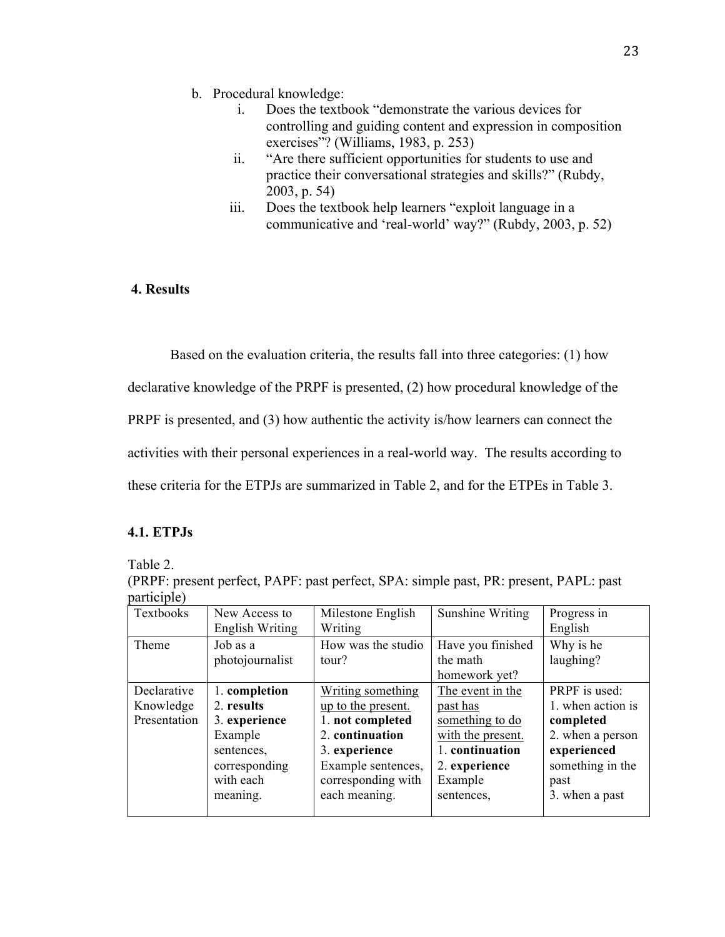- b. Procedural knowledge:
	- i. Does the textbook "demonstrate the various devices for controlling and guiding content and expression in composition exercises"? (Williams, 1983, p. 253)
	- ii. "Are there sufficient opportunities for students to use and practice their conversational strategies and skills?" (Rubdy, 2003, p. 54)
	- iii. Does the textbook help learners "exploit language in a communicative and 'real-world' way?" (Rubdy, 2003, p. 52)

## **4. Results**

Based on the evaluation criteria, the results fall into three categories: (1) how

declarative knowledge of the PRPF is presented, (2) how procedural knowledge of the

PRPF is presented, and (3) how authentic the activity is/how learners can connect the

activities with their personal experiences in a real-world way. The results according to

these criteria for the ETPJs are summarized in Table 2, and for the ETPEs in Table 3.

## **4.1. ETPJs**

Table 2.

| (PRPF: present perfect, PAPF: past perfect, SPA: simple past, PR: present, PAPL: past |  |  |
|---------------------------------------------------------------------------------------|--|--|
| participle)                                                                           |  |  |

| Textbooks    | New Access to   | Milestone English  | Sunshine Writing  | Progress in       |
|--------------|-----------------|--------------------|-------------------|-------------------|
|              | English Writing | Writing            |                   | English           |
| Theme        | Job as a        | How was the studio | Have you finished | Why is he         |
|              | photojournalist | tour?              | the math          | laughing?         |
|              |                 |                    | homework yet?     |                   |
| Declarative  | 1. completion   | Writing something  | The event in the  | PRPF is used:     |
| Knowledge    | 2. results      | up to the present. | past has          | 1. when action is |
| Presentation | 3. experience   | 1. not completed   | something to do   | completed         |
|              | Example         | 2. continuation    | with the present. | 2. when a person  |
|              | sentences,      | 3. experience      | 1. continuation   | experienced       |
|              | corresponding   | Example sentences, | 2. experience     | something in the  |
|              | with each       | corresponding with | Example           | past              |
|              | meaning.        | each meaning.      | sentences,        | 3. when a past    |
|              |                 |                    |                   |                   |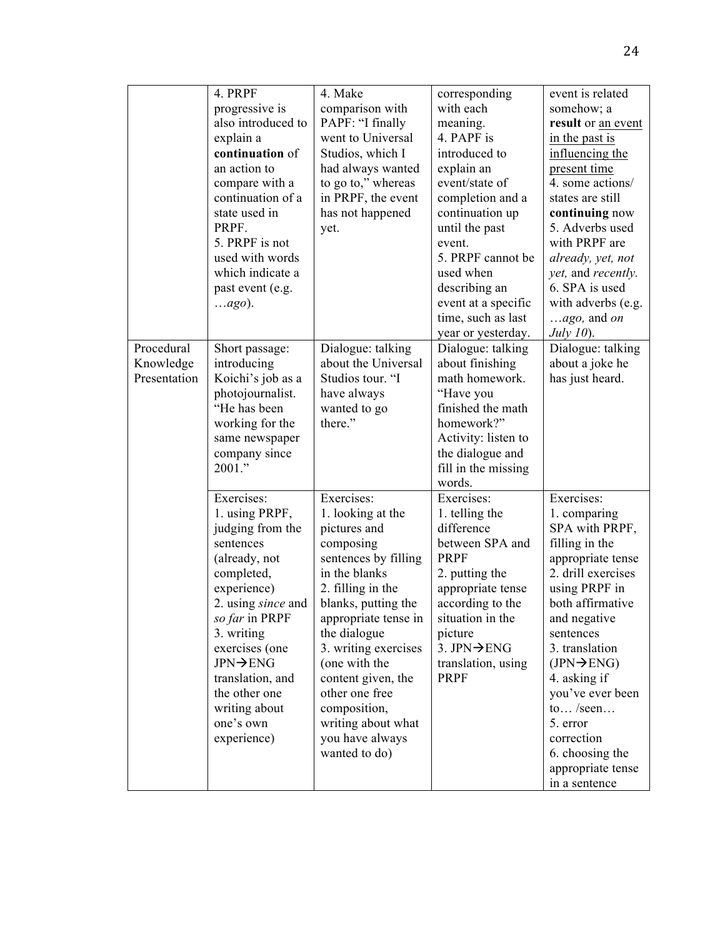|              | 4. PRPF                   | 4. Make              | corresponding            | event is related                   |
|--------------|---------------------------|----------------------|--------------------------|------------------------------------|
|              | progressive is            | comparison with      | with each                | somehow; a                         |
|              | also introduced to        | PAPF: "I finally     | meaning.                 | result or an event                 |
|              | explain a                 | went to Universal    | 4. PAPF is               | in the past is                     |
|              | continuation of           | Studios, which I     | introduced to            | influencing the                    |
|              | an action to              | had always wanted    | explain an               | present time                       |
|              | compare with a            | to go to," whereas   | event/state of           | 4. some actions/                   |
|              | continuation of a         | in PRPF, the event   | completion and a         | states are still                   |
|              | state used in             | has not happened     | continuation up          | continuing now                     |
|              | PRPF.                     | yet.                 | until the past           | 5. Adverbs used                    |
|              | 5. PRPF is not            |                      | event.                   | with PRPF are                      |
|              | used with words           |                      | 5. PRPF cannot be        | already, yet, not                  |
|              | which indicate a          |                      | used when                | <i>yet</i> , and <i>recently</i> . |
|              | past event (e.g.          |                      | describing an            | 6. SPA is used                     |
|              | ago).                     |                      | event at a specific      | with adverbs (e.g.                 |
|              |                           |                      | time, such as last       | $ago$ , and on                     |
|              |                           |                      | year or yesterday.       | July $10$ ).                       |
| Procedural   | Short passage:            | Dialogue: talking    | Dialogue: talking        | Dialogue: talking                  |
| Knowledge    | introducing               | about the Universal  | about finishing          | about a joke he                    |
| Presentation | Koichi's job as a         | Studios tour. "I     | math homework.           | has just heard.                    |
|              | photojournalist.          | have always          | "Have you                |                                    |
|              | "He has been              | wanted to go         | finished the math        |                                    |
|              | working for the           | there."              | homework?"               |                                    |
|              | same newspaper            |                      | Activity: listen to      |                                    |
|              | company since             |                      | the dialogue and         |                                    |
|              | 2001."                    |                      | fill in the missing      |                                    |
|              |                           |                      | words.                   |                                    |
|              | Exercises:                | Exercises:           | Exercises:               | Exercises:                         |
|              | 1. using PRPF,            | 1. looking at the    | 1. telling the           | 1. comparing                       |
|              | judging from the          | pictures and         | difference               | SPA with PRPF,                     |
|              | sentences                 | composing            | between SPA and          | filling in the                     |
|              | (already, not             | sentences by filling | <b>PRPF</b>              | appropriate tense                  |
|              | completed,                | in the blanks        | 2. putting the           | 2. drill exercises                 |
|              | experience)               | 2. filling in the    | appropriate tense        | using PRPF in                      |
|              | 2. using <i>since</i> and | blanks, putting the  | according to the         | both affirmative                   |
|              | so far in PRPF            | appropriate tense in | situation in the         | and negative                       |
|              | 3. writing                | the dialogue         | picture                  | sentences                          |
|              | exercises (one            | 3. writing exercises | 3. JPN $\rightarrow$ ENG | 3. translation                     |
|              | JPN→ENG                   | (one with the        | translation, using       | $(JPN \rightarrow ENG)$            |
|              | translation, and          | content given, the   | PRPF                     | 4. asking if                       |
|              | the other one             | other one free       |                          | you've ever been                   |
|              | writing about             | composition,         |                          | to $/$ seen                        |
|              | one's own                 | writing about what   |                          | 5. error                           |
|              | experience)               | you have always      |                          | correction                         |
|              |                           | wanted to do)        |                          | 6. choosing the                    |
|              |                           |                      |                          | appropriate tense                  |
|              |                           |                      |                          | in a sentence                      |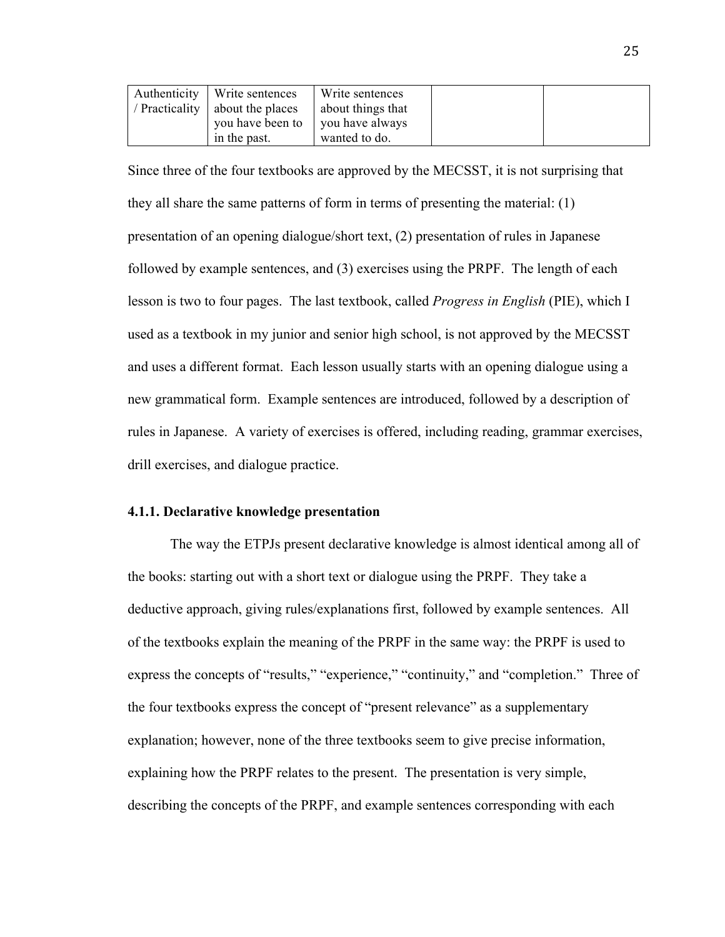| Authenticity   Write sentences  | Write sentences   |  |
|---------------------------------|-------------------|--|
| / Practicality about the places | about things that |  |
| you have been to                | vou have always   |  |
| in the past.                    | wanted to do.     |  |

Since three of the four textbooks are approved by the MECSST, it is not surprising that they all share the same patterns of form in terms of presenting the material: (1) presentation of an opening dialogue/short text, (2) presentation of rules in Japanese followed by example sentences, and (3) exercises using the PRPF. The length of each lesson is two to four pages. The last textbook, called *Progress in English* (PIE), which I used as a textbook in my junior and senior high school, is not approved by the MECSST and uses a different format. Each lesson usually starts with an opening dialogue using a new grammatical form. Example sentences are introduced, followed by a description of rules in Japanese. A variety of exercises is offered, including reading, grammar exercises, drill exercises, and dialogue practice.

### **4.1.1. Declarative knowledge presentation**

The way the ETPJs present declarative knowledge is almost identical among all of the books: starting out with a short text or dialogue using the PRPF. They take a deductive approach, giving rules/explanations first, followed by example sentences. All of the textbooks explain the meaning of the PRPF in the same way: the PRPF is used to express the concepts of "results," "experience," "continuity," and "completion." Three of the four textbooks express the concept of "present relevance" as a supplementary explanation; however, none of the three textbooks seem to give precise information, explaining how the PRPF relates to the present. The presentation is very simple, describing the concepts of the PRPF, and example sentences corresponding with each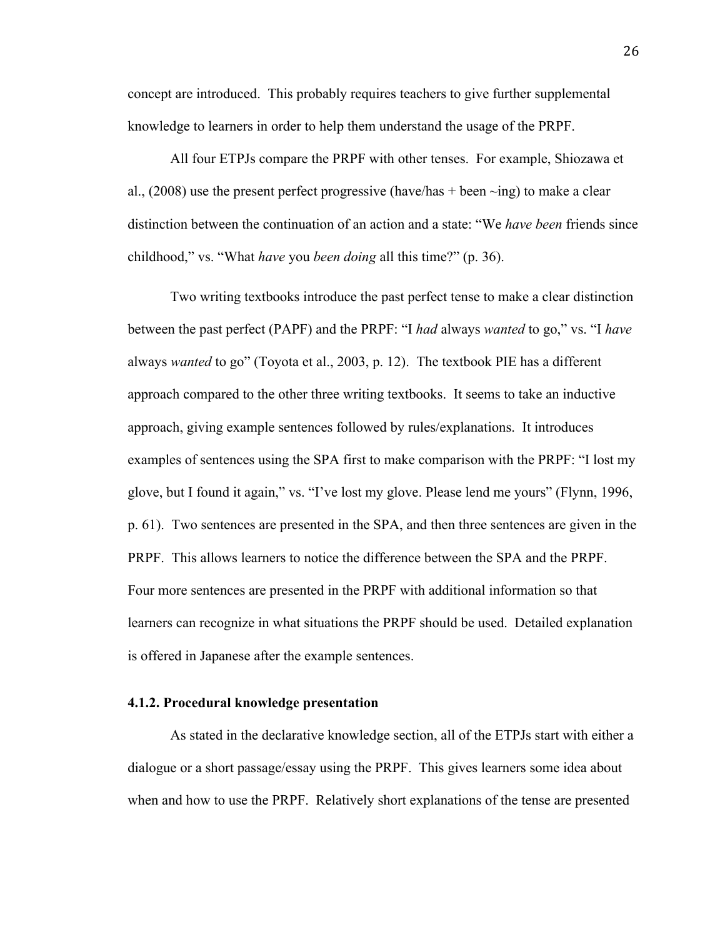concept are introduced. This probably requires teachers to give further supplemental knowledge to learners in order to help them understand the usage of the PRPF.

All four ETPJs compare the PRPF with other tenses. For example, Shiozawa et al., (2008) use the present perfect progressive (have/has + been  $\sim$ ing) to make a clear distinction between the continuation of an action and a state: "We *have been* friends since childhood," vs. "What *have* you *been doing* all this time?" (p. 36).

Two writing textbooks introduce the past perfect tense to make a clear distinction between the past perfect (PAPF) and the PRPF: "I *had* always *wanted* to go," vs. "I *have*  always *wanted* to go" (Toyota et al., 2003, p. 12). The textbook PIE has a different approach compared to the other three writing textbooks. It seems to take an inductive approach, giving example sentences followed by rules/explanations. It introduces examples of sentences using the SPA first to make comparison with the PRPF: "I lost my glove, but I found it again," vs. "I've lost my glove. Please lend me yours" (Flynn, 1996, p. 61). Two sentences are presented in the SPA, and then three sentences are given in the PRPF. This allows learners to notice the difference between the SPA and the PRPF. Four more sentences are presented in the PRPF with additional information so that learners can recognize in what situations the PRPF should be used. Detailed explanation is offered in Japanese after the example sentences.

### **4.1.2. Procedural knowledge presentation**

As stated in the declarative knowledge section, all of the ETPJs start with either a dialogue or a short passage/essay using the PRPF. This gives learners some idea about when and how to use the PRPF. Relatively short explanations of the tense are presented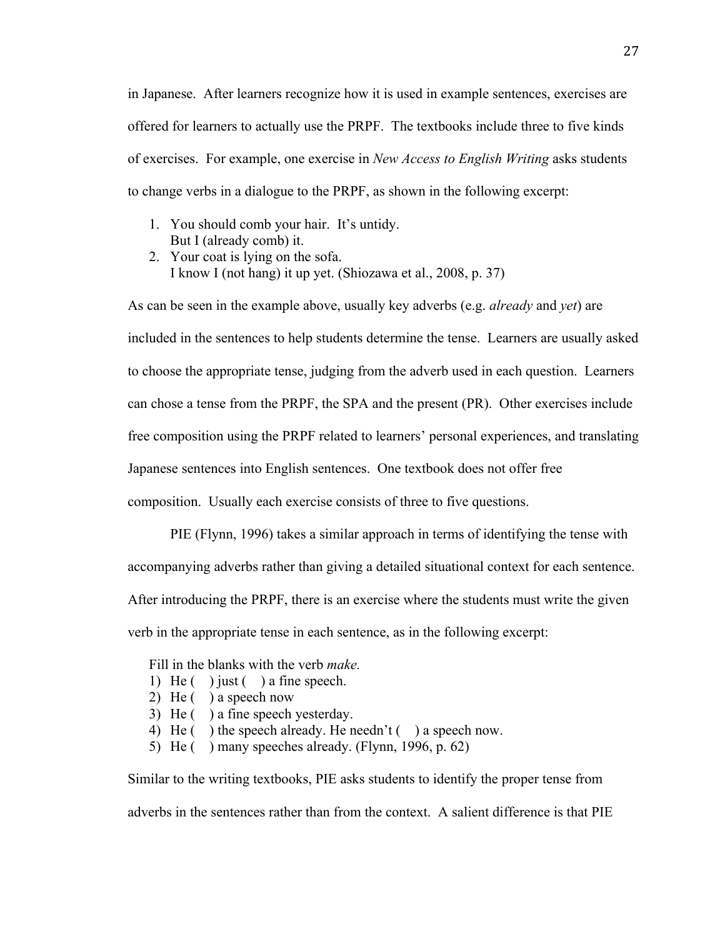in Japanese. After learners recognize how it is used in example sentences, exercises are offered for learners to actually use the PRPF. The textbooks include three to five kinds of exercises. For example, one exercise in *New Access to English Writing* asks students to change verbs in a dialogue to the PRPF, as shown in the following excerpt:

- 1. You should comb your hair. It's untidy. But I (already comb) it.
- 2. Your coat is lying on the sofa. I know I (not hang) it up yet. (Shiozawa et al., 2008, p. 37)

As can be seen in the example above, usually key adverbs (e.g. *already* and *yet*) are included in the sentences to help students determine the tense. Learners are usually asked to choose the appropriate tense, judging from the adverb used in each question. Learners can chose a tense from the PRPF, the SPA and the present (PR). Other exercises include free composition using the PRPF related to learners' personal experiences, and translating Japanese sentences into English sentences. One textbook does not offer free composition. Usually each exercise consists of three to five questions.

PIE (Flynn, 1996) takes a similar approach in terms of identifying the tense with accompanying adverbs rather than giving a detailed situational context for each sentence. After introducing the PRPF, there is an exercise where the students must write the given verb in the appropriate tense in each sentence, as in the following excerpt:

Fill in the blanks with the verb *make.*

- 1) He  $( )$  just  $( )$  a fine speech.
- 2) He ( ) a speech now
- 3) He ( ) a fine speech yesterday.
- 4) He ( ) the speech already. He needn't ( ) a speech now.
- 5) He ( ) many speeches already. (Flynn, 1996, p. 62)

Similar to the writing textbooks, PIE asks students to identify the proper tense from

adverbs in the sentences rather than from the context. A salient difference is that PIE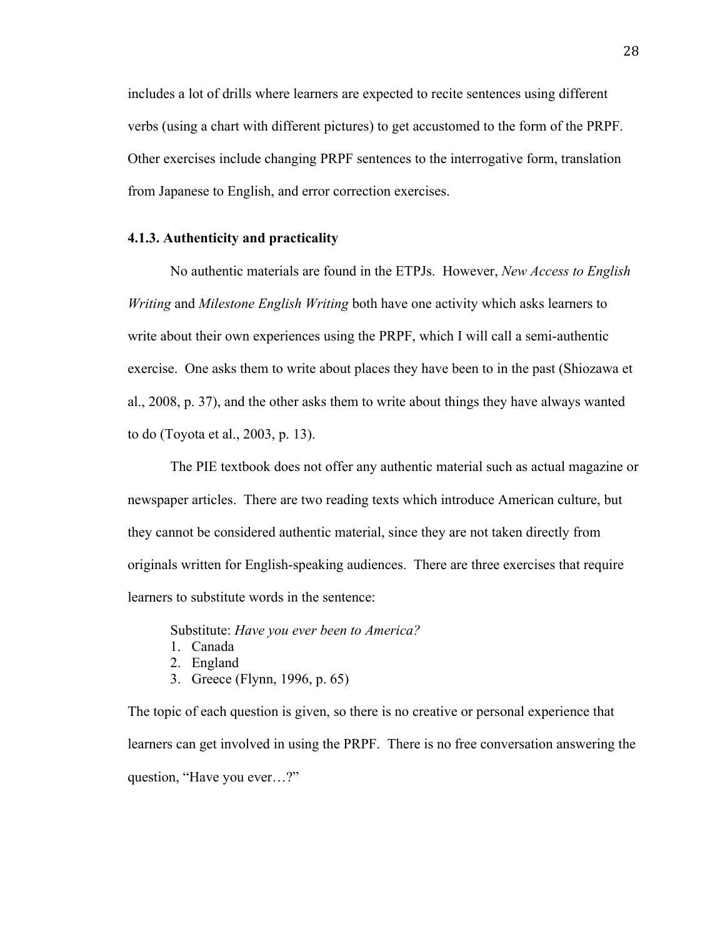includes a lot of drills where learners are expected to recite sentences using different verbs (using a chart with different pictures) to get accustomed to the form of the PRPF. Other exercises include changing PRPF sentences to the interrogative form, translation from Japanese to English, and error correction exercises.

### **4.1.3. Authenticity and practicality**

No authentic materials are found in the ETPJs. However, *New Access to English Writing* and *Milestone English Writing* both have one activity which asks learners to write about their own experiences using the PRPF, which I will call a semi-authentic exercise. One asks them to write about places they have been to in the past (Shiozawa et al., 2008, p. 37), and the other asks them to write about things they have always wanted to do (Toyota et al., 2003, p. 13).

The PIE textbook does not offer any authentic material such as actual magazine or newspaper articles. There are two reading texts which introduce American culture, but they cannot be considered authentic material, since they are not taken directly from originals written for English-speaking audiences. There are three exercises that require learners to substitute words in the sentence:

Substitute: *Have you ever been to America?*

- 1. Canada
- 2. England
- 3. Greece (Flynn, 1996, p. 65)

The topic of each question is given, so there is no creative or personal experience that learners can get involved in using the PRPF. There is no free conversation answering the question, "Have you ever…?"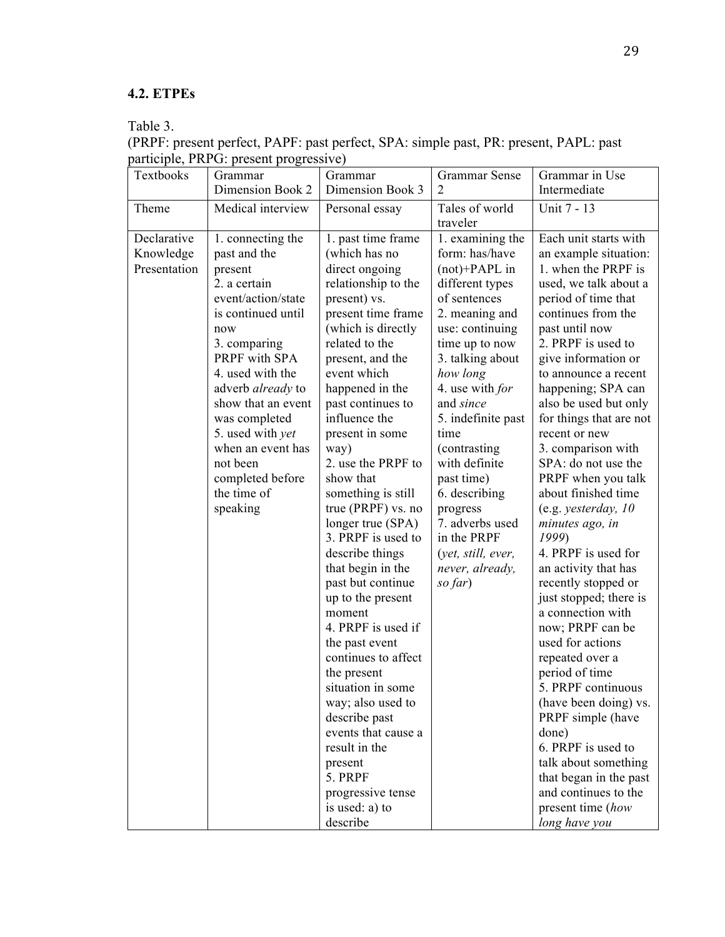## **4.2. ETPEs**

Table 3.

| Textbooks                                | Grammar                                                                                                                                                                                                                                                                                                                                     | Grammar                                                                                                                                                                                                                                                                                                                                                                                                                                                                                                                                                                                                                                                                                                                                                           | <b>Grammar Sense</b>                                                                                                                                                                                                                                                                                                                                                                                             | Grammar in Use                                                                                                                                                                                                                                                                                                                                                                                                                                                                                                                                                                                                                                                                                                                                                                                                                                                                                  |
|------------------------------------------|---------------------------------------------------------------------------------------------------------------------------------------------------------------------------------------------------------------------------------------------------------------------------------------------------------------------------------------------|-------------------------------------------------------------------------------------------------------------------------------------------------------------------------------------------------------------------------------------------------------------------------------------------------------------------------------------------------------------------------------------------------------------------------------------------------------------------------------------------------------------------------------------------------------------------------------------------------------------------------------------------------------------------------------------------------------------------------------------------------------------------|------------------------------------------------------------------------------------------------------------------------------------------------------------------------------------------------------------------------------------------------------------------------------------------------------------------------------------------------------------------------------------------------------------------|-------------------------------------------------------------------------------------------------------------------------------------------------------------------------------------------------------------------------------------------------------------------------------------------------------------------------------------------------------------------------------------------------------------------------------------------------------------------------------------------------------------------------------------------------------------------------------------------------------------------------------------------------------------------------------------------------------------------------------------------------------------------------------------------------------------------------------------------------------------------------------------------------|
|                                          | Dimension Book 2                                                                                                                                                                                                                                                                                                                            | Dimension Book 3                                                                                                                                                                                                                                                                                                                                                                                                                                                                                                                                                                                                                                                                                                                                                  | $\overline{2}$                                                                                                                                                                                                                                                                                                                                                                                                   | Intermediate                                                                                                                                                                                                                                                                                                                                                                                                                                                                                                                                                                                                                                                                                                                                                                                                                                                                                    |
| Theme                                    | Medical interview                                                                                                                                                                                                                                                                                                                           | Personal essay                                                                                                                                                                                                                                                                                                                                                                                                                                                                                                                                                                                                                                                                                                                                                    | Tales of world<br>traveler                                                                                                                                                                                                                                                                                                                                                                                       | Unit 7 - 13                                                                                                                                                                                                                                                                                                                                                                                                                                                                                                                                                                                                                                                                                                                                                                                                                                                                                     |
| Declarative<br>Knowledge<br>Presentation | 1. connecting the<br>past and the<br>present<br>2. a certain<br>event/action/state<br>is continued until<br>now<br>3. comparing<br>PRPF with SPA<br>4. used with the<br>adverb already to<br>show that an event<br>was completed<br>5. used with <i>yet</i><br>when an event has<br>not been<br>completed before<br>the time of<br>speaking | 1. past time frame<br>(which has no<br>direct ongoing<br>relationship to the<br>present) vs.<br>present time frame<br>(which is directly<br>related to the<br>present, and the<br>event which<br>happened in the<br>past continues to<br>influence the<br>present in some<br>way)<br>2. use the PRPF to<br>show that<br>something is still<br>true (PRPF) vs. no<br>longer true (SPA)<br>3. PRPF is used to<br>describe things<br>that begin in the<br>past but continue<br>up to the present<br>moment<br>4. PRPF is used if<br>the past event<br>continues to affect<br>the present<br>situation in some<br>way; also used to<br>describe past<br>events that cause a<br>result in the<br>present<br>5. PRPF<br>progressive tense<br>is used: a) to<br>describe | 1. examining the<br>form: has/have<br>$(not)+PAPL$ in<br>different types<br>of sentences<br>2. meaning and<br>use: continuing<br>time up to now<br>3. talking about<br>how long<br>4. use with for<br>and since<br>5. indefinite past<br>time<br>(contrasting)<br>with definite<br>past time)<br>6. describing<br>progress<br>7. adverbs used<br>in the PRPF<br>(yet, still, ever,<br>never, already,<br>so far) | Each unit starts with<br>an example situation:<br>1. when the PRPF is<br>used, we talk about a<br>period of time that<br>continues from the<br>past until now<br>2. PRPF is used to<br>give information or<br>to announce a recent<br>happening; SPA can<br>also be used but only<br>for things that are not<br>recent or new<br>3. comparison with<br>SPA: do not use the<br>PRPF when you talk<br>about finished time<br>(e.g. yesterday, 10<br>minutes ago, in<br>1999)<br>4. PRPF is used for<br>an activity that has<br>recently stopped or<br>just stopped; there is<br>a connection with<br>now; PRPF can be<br>used for actions<br>repeated over a<br>period of time<br>5. PRPF continuous<br>(have been doing) vs.<br>PRPF simple (have<br>done)<br>6. PRPF is used to<br>talk about something<br>that began in the past<br>and continues to the<br>present time (how<br>long have you |

(PRPF: present perfect, PAPF: past perfect, SPA: simple past, PR: present, PAPL: past participle, PRPG: present progressive)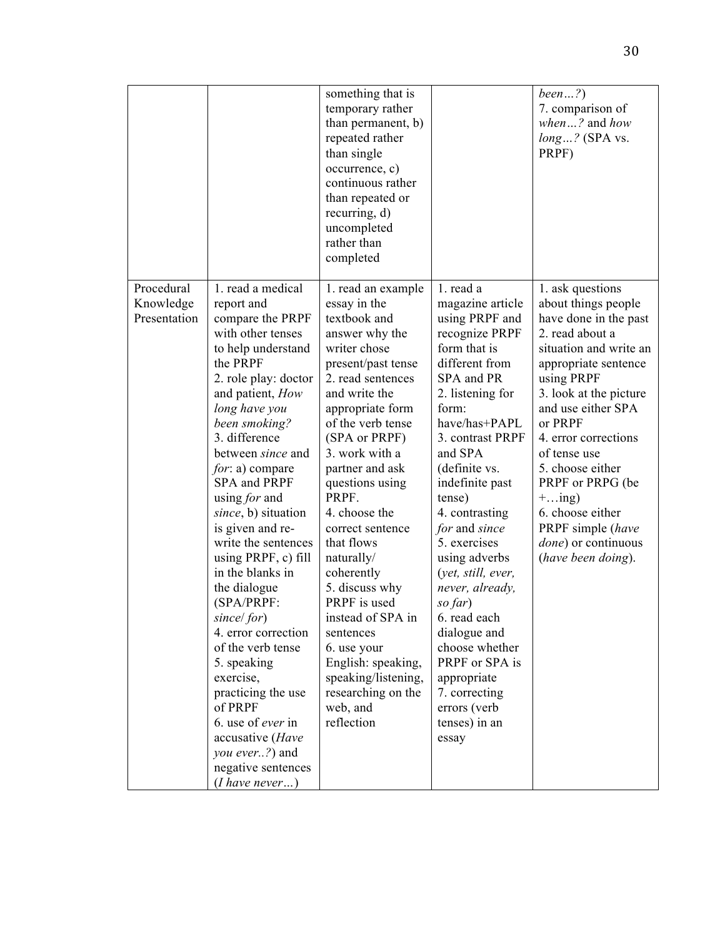|                                         |                                                                                                                                                                                                                                                                                                                                                                                                                                                                                                                                                                                                                                                           | something that is<br>temporary rather<br>than permanent, b)<br>repeated rather<br>than single<br>occurrence, c)<br>continuous rather<br>than repeated or<br>recurring, d)<br>uncompleted<br>rather than<br>completed                                                                                                                                                                                                                                                                                                                       |                                                                                                                                                                                                                                                                                                                                                                                                                                                                                                                    | been?)<br>7. comparison of<br>when? and how<br>long? (SPA vs.<br>PRPF)                                                                                                                                                                                                                                                                                                                           |
|-----------------------------------------|-----------------------------------------------------------------------------------------------------------------------------------------------------------------------------------------------------------------------------------------------------------------------------------------------------------------------------------------------------------------------------------------------------------------------------------------------------------------------------------------------------------------------------------------------------------------------------------------------------------------------------------------------------------|--------------------------------------------------------------------------------------------------------------------------------------------------------------------------------------------------------------------------------------------------------------------------------------------------------------------------------------------------------------------------------------------------------------------------------------------------------------------------------------------------------------------------------------------|--------------------------------------------------------------------------------------------------------------------------------------------------------------------------------------------------------------------------------------------------------------------------------------------------------------------------------------------------------------------------------------------------------------------------------------------------------------------------------------------------------------------|--------------------------------------------------------------------------------------------------------------------------------------------------------------------------------------------------------------------------------------------------------------------------------------------------------------------------------------------------------------------------------------------------|
| Procedural<br>Knowledge<br>Presentation | 1. read a medical<br>report and<br>compare the PRPF<br>with other tenses<br>to help understand<br>the PRPF<br>2. role play: doctor<br>and patient, How<br>long have you<br>been smoking?<br>3. difference<br>between since and<br>for: a) compare<br>SPA and PRPF<br>using for and<br>since, b) situation<br>is given and re-<br>write the sentences<br>using PRPF, c) fill<br>in the blanks in<br>the dialogue<br>(SPA/PRPF:<br>since/for)<br>4. error correction<br>of the verb tense<br>5. speaking<br>exercise,<br>practicing the use<br>of PRPF<br>6. use of ever in<br>accusative (Have<br>you ever?) and<br>negative sentences<br>( I have never ) | 1. read an example<br>essay in the<br>textbook and<br>answer why the<br>writer chose<br>present/past tense<br>2. read sentences<br>and write the<br>appropriate form<br>of the verb tense<br>(SPA or PRPF)<br>3. work with a<br>partner and ask<br>questions using<br>PRPF.<br>4. choose the<br>correct sentence<br>that flows<br>naturally/<br>coherently<br>5. discuss why<br>PRPF is used<br>instead of SPA in<br>sentences<br>6. use your<br>English: speaking,<br>speaking/listening,<br>researching on the<br>web, and<br>reflection | 1. read a<br>magazine article<br>using PRPF and<br>recognize PRPF<br>form that is<br>different from<br>SPA and PR<br>2. listening for<br>form:<br>have/has+PAPL<br>3. contrast PRPF<br>and SPA<br>(definite vs.<br>indefinite past<br>tense)<br>4. contrasting<br>for and since<br>5. exercises<br>using adverbs<br>(yet, still, ever,<br>never, already,<br>so far)<br>6. read each<br>dialogue and<br>choose whether<br>PRPF or SPA is<br>appropriate<br>7. correcting<br>errors (verb<br>tenses) in an<br>essay | 1. ask questions<br>about things people<br>have done in the past<br>2. read about a<br>situation and write an<br>appropriate sentence<br>using PRPF<br>3. look at the picture<br>and use either SPA<br>or PRPF<br>4. error corrections<br>of tense use<br>5. choose either<br>PRPF or PRPG (be)<br>$+ing)$<br>6. choose either<br>PRPF simple (have<br>done) or continuous<br>(have been doing). |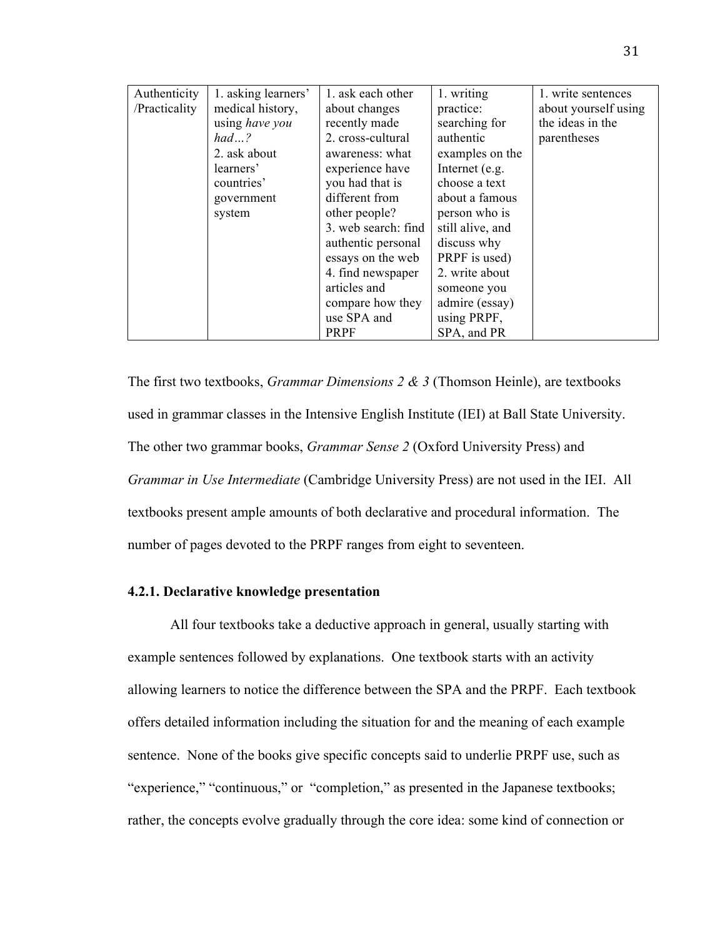| Authenticity  | 1. asking learners' | 1. ask each other   | 1. writing       | 1. write sentences   |
|---------------|---------------------|---------------------|------------------|----------------------|
| /Practicality | medical history,    | about changes       | practice:        | about yourself using |
|               | using have you      | recently made       | searching for    | the ideas in the     |
|               | had?                | 2. cross-cultural   | authentic        | parentheses          |
|               | 2. ask about        | awareness: what     | examples on the  |                      |
|               | learners'           | experience have     | Internet (e.g.   |                      |
|               | countries'          | you had that is     | choose a text    |                      |
|               | government          | different from      | about a famous   |                      |
|               | system              | other people?       | person who is    |                      |
|               |                     | 3. web search: find | still alive, and |                      |
|               |                     | authentic personal  | discuss why      |                      |
|               |                     | essays on the web   | PRPF is used)    |                      |
|               |                     | 4. find newspaper   | 2. write about   |                      |
|               |                     | articles and        | someone you      |                      |
|               |                     | compare how they    | admire (essay)   |                      |
|               |                     | use SPA and         | using PRPF,      |                      |
|               |                     | PRPF                | SPA, and PR      |                      |

The first two textbooks, *Grammar Dimensions 2 & 3* (Thomson Heinle), are textbooks used in grammar classes in the Intensive English Institute (IEI) at Ball State University. The other two grammar books, *Grammar Sense 2* (Oxford University Press) and *Grammar in Use Intermediate* (Cambridge University Press) are not used in the IEI. All textbooks present ample amounts of both declarative and procedural information. The number of pages devoted to the PRPF ranges from eight to seventeen.

### **4.2.1. Declarative knowledge presentation**

All four textbooks take a deductive approach in general, usually starting with example sentences followed by explanations. One textbook starts with an activity allowing learners to notice the difference between the SPA and the PRPF. Each textbook offers detailed information including the situation for and the meaning of each example sentence. None of the books give specific concepts said to underlie PRPF use, such as "experience," "continuous," or "completion," as presented in the Japanese textbooks; rather, the concepts evolve gradually through the core idea: some kind of connection or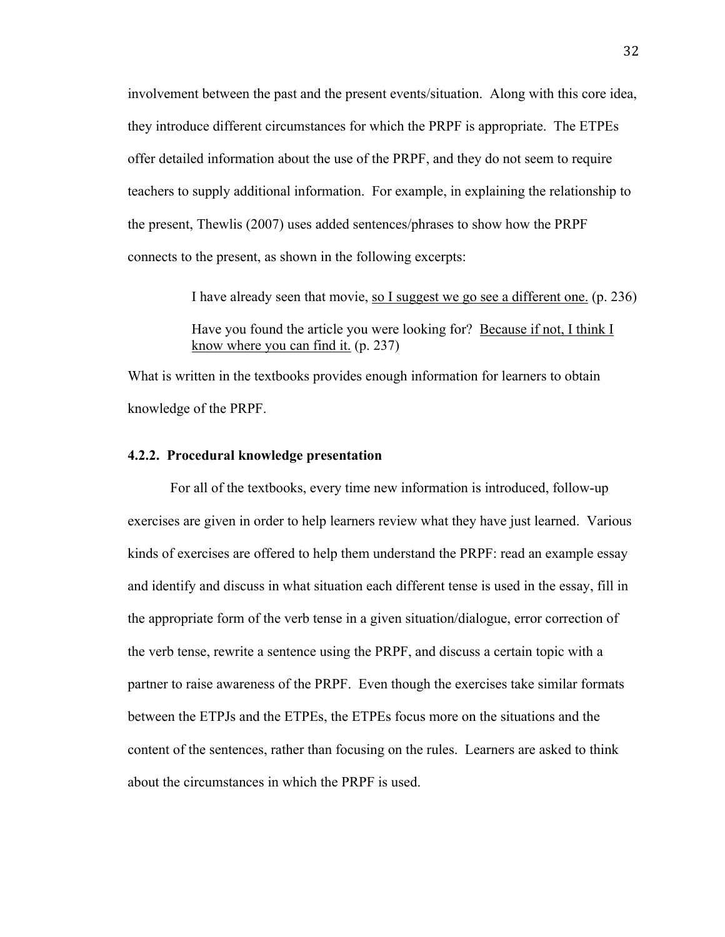involvement between the past and the present events/situation. Along with this core idea, they introduce different circumstances for which the PRPF is appropriate. The ETPEs offer detailed information about the use of the PRPF, and they do not seem to require teachers to supply additional information. For example, in explaining the relationship to the present, Thewlis (2007) uses added sentences/phrases to show how the PRPF connects to the present, as shown in the following excerpts:

I have already seen that movie, so I suggest we go see a different one. (p. 236)

Have you found the article you were looking for? Because if not, I think I know where you can find it. (p. 237)

What is written in the textbooks provides enough information for learners to obtain knowledge of the PRPF.

### **4.2.2. Procedural knowledge presentation**

For all of the textbooks, every time new information is introduced, follow-up exercises are given in order to help learners review what they have just learned. Various kinds of exercises are offered to help them understand the PRPF: read an example essay and identify and discuss in what situation each different tense is used in the essay, fill in the appropriate form of the verb tense in a given situation/dialogue, error correction of the verb tense, rewrite a sentence using the PRPF, and discuss a certain topic with a partner to raise awareness of the PRPF. Even though the exercises take similar formats between the ETPJs and the ETPEs, the ETPEs focus more on the situations and the content of the sentences, rather than focusing on the rules. Learners are asked to think about the circumstances in which the PRPF is used.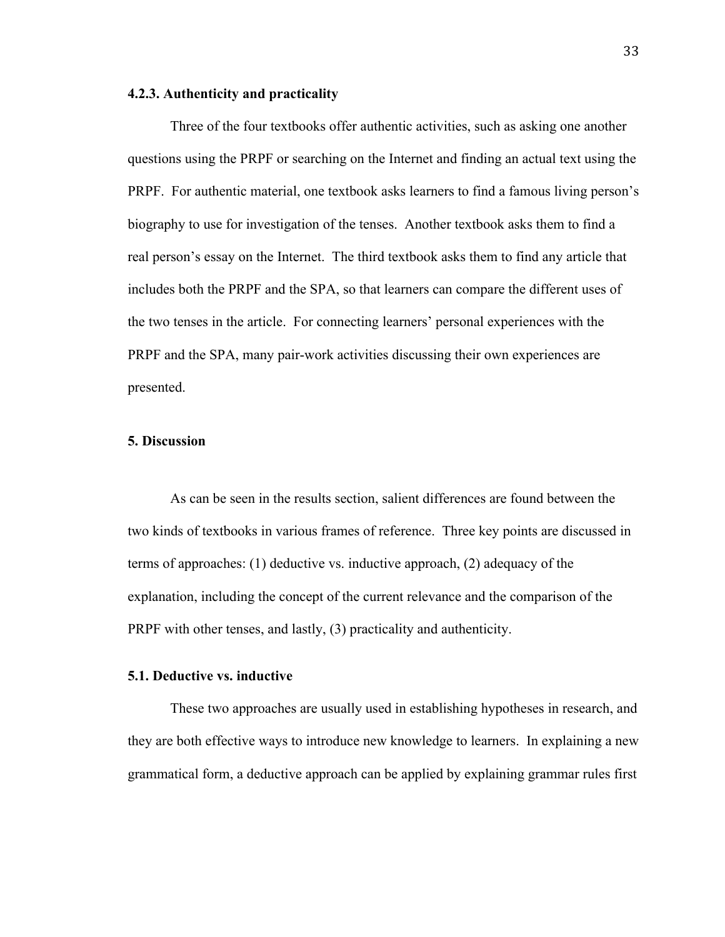### **4.2.3. Authenticity and practicality**

Three of the four textbooks offer authentic activities, such as asking one another questions using the PRPF or searching on the Internet and finding an actual text using the PRPF. For authentic material, one textbook asks learners to find a famous living person's biography to use for investigation of the tenses. Another textbook asks them to find a real person's essay on the Internet. The third textbook asks them to find any article that includes both the PRPF and the SPA, so that learners can compare the different uses of the two tenses in the article. For connecting learners' personal experiences with the PRPF and the SPA, many pair-work activities discussing their own experiences are presented.

### **5. Discussion**

As can be seen in the results section, salient differences are found between the two kinds of textbooks in various frames of reference. Three key points are discussed in terms of approaches: (1) deductive vs. inductive approach, (2) adequacy of the explanation, including the concept of the current relevance and the comparison of the PRPF with other tenses, and lastly, (3) practicality and authenticity.

### **5.1. Deductive vs. inductive**

These two approaches are usually used in establishing hypotheses in research, and they are both effective ways to introduce new knowledge to learners. In explaining a new grammatical form, a deductive approach can be applied by explaining grammar rules first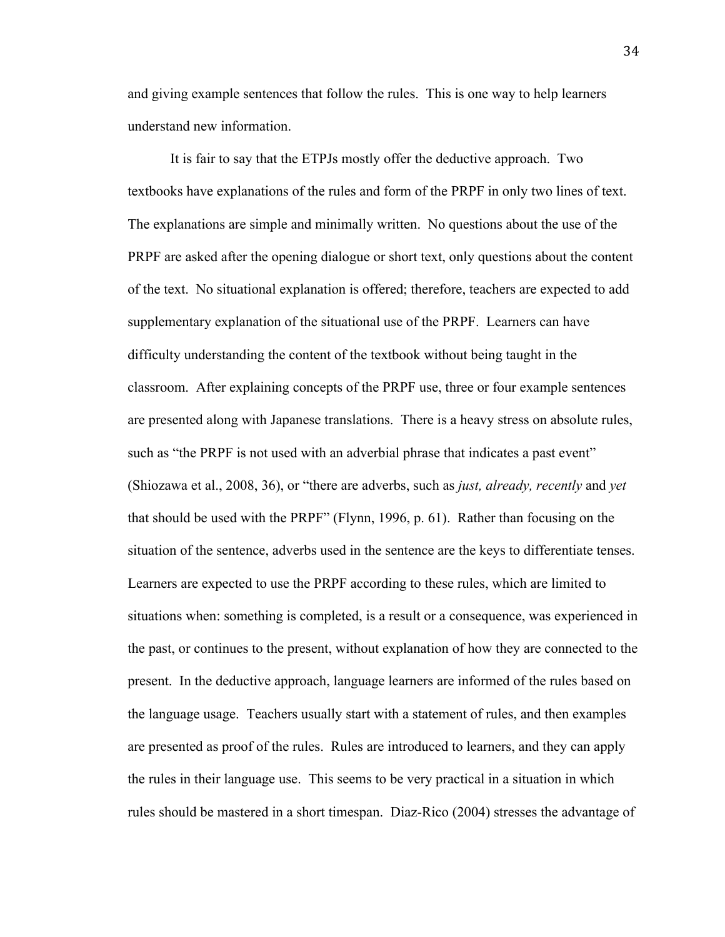and giving example sentences that follow the rules. This is one way to help learners understand new information.

It is fair to say that the ETPJs mostly offer the deductive approach. Two textbooks have explanations of the rules and form of the PRPF in only two lines of text. The explanations are simple and minimally written. No questions about the use of the PRPF are asked after the opening dialogue or short text, only questions about the content of the text. No situational explanation is offered; therefore, teachers are expected to add supplementary explanation of the situational use of the PRPF. Learners can have difficulty understanding the content of the textbook without being taught in the classroom. After explaining concepts of the PRPF use, three or four example sentences are presented along with Japanese translations. There is a heavy stress on absolute rules, such as "the PRPF is not used with an adverbial phrase that indicates a past event" (Shiozawa et al., 2008, 36), or "there are adverbs, such as *just, already, recently* and *yet* that should be used with the PRPF" (Flynn, 1996, p. 61). Rather than focusing on the situation of the sentence, adverbs used in the sentence are the keys to differentiate tenses. Learners are expected to use the PRPF according to these rules, which are limited to situations when: something is completed, is a result or a consequence, was experienced in the past, or continues to the present, without explanation of how they are connected to the present. In the deductive approach, language learners are informed of the rules based on the language usage. Teachers usually start with a statement of rules, and then examples are presented as proof of the rules. Rules are introduced to learners, and they can apply the rules in their language use. This seems to be very practical in a situation in which rules should be mastered in a short timespan. Diaz-Rico (2004) stresses the advantage of

34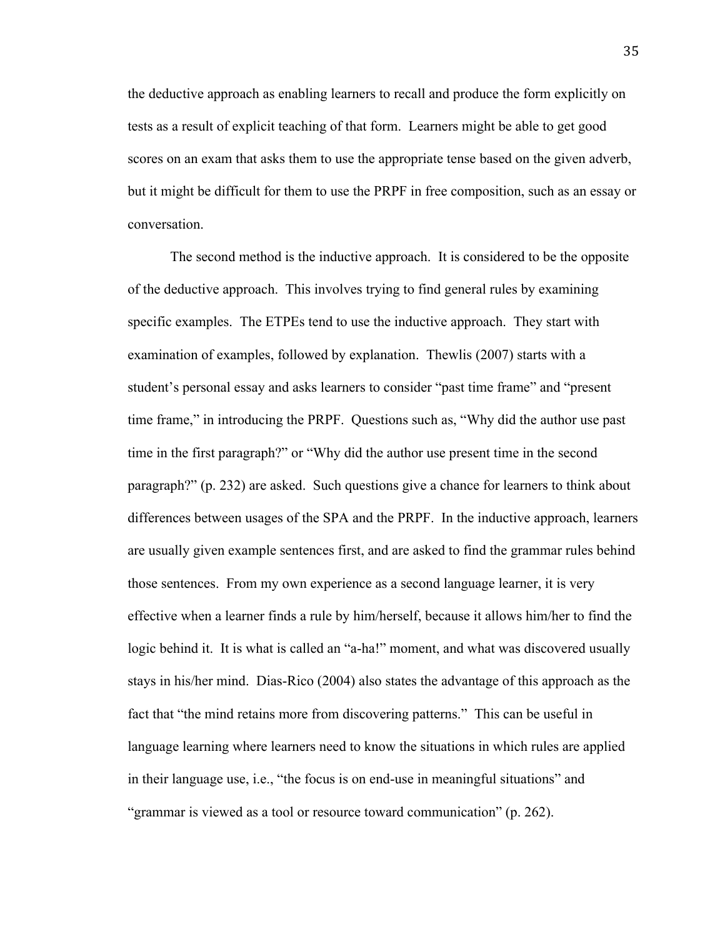the deductive approach as enabling learners to recall and produce the form explicitly on tests as a result of explicit teaching of that form. Learners might be able to get good scores on an exam that asks them to use the appropriate tense based on the given adverb, but it might be difficult for them to use the PRPF in free composition, such as an essay or conversation.

The second method is the inductive approach. It is considered to be the opposite of the deductive approach. This involves trying to find general rules by examining specific examples. The ETPEs tend to use the inductive approach. They start with examination of examples, followed by explanation. Thewlis (2007) starts with a student's personal essay and asks learners to consider "past time frame" and "present time frame," in introducing the PRPF. Questions such as, "Why did the author use past time in the first paragraph?" or "Why did the author use present time in the second paragraph?" (p. 232) are asked. Such questions give a chance for learners to think about differences between usages of the SPA and the PRPF. In the inductive approach, learners are usually given example sentences first, and are asked to find the grammar rules behind those sentences. From my own experience as a second language learner, it is very effective when a learner finds a rule by him/herself, because it allows him/her to find the logic behind it. It is what is called an "a-ha!" moment, and what was discovered usually stays in his/her mind. Dias-Rico (2004) also states the advantage of this approach as the fact that "the mind retains more from discovering patterns." This can be useful in language learning where learners need to know the situations in which rules are applied in their language use, i.e., "the focus is on end-use in meaningful situations" and "grammar is viewed as a tool or resource toward communication" (p. 262).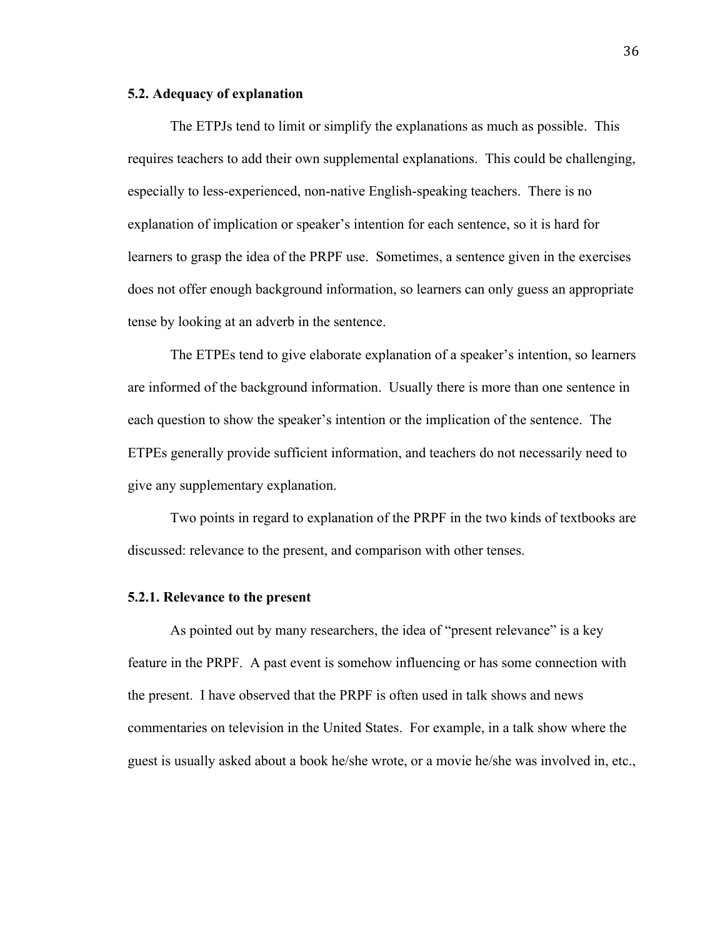### **5.2. Adequacy of explanation**

The ETPJs tend to limit or simplify the explanations as much as possible. This requires teachers to add their own supplemental explanations. This could be challenging, especially to less-experienced, non-native English-speaking teachers. There is no explanation of implication or speaker's intention for each sentence, so it is hard for learners to grasp the idea of the PRPF use. Sometimes, a sentence given in the exercises does not offer enough background information, so learners can only guess an appropriate tense by looking at an adverb in the sentence.

The ETPEs tend to give elaborate explanation of a speaker's intention, so learners are informed of the background information. Usually there is more than one sentence in each question to show the speaker's intention or the implication of the sentence. The ETPEs generally provide sufficient information, and teachers do not necessarily need to give any supplementary explanation.

Two points in regard to explanation of the PRPF in the two kinds of textbooks are discussed: relevance to the present, and comparison with other tenses.

### **5.2.1. Relevance to the present**

As pointed out by many researchers, the idea of "present relevance" is a key feature in the PRPF. A past event is somehow influencing or has some connection with the present. I have observed that the PRPF is often used in talk shows and news commentaries on television in the United States. For example, in a talk show where the guest is usually asked about a book he/she wrote, or a movie he/she was involved in, etc.,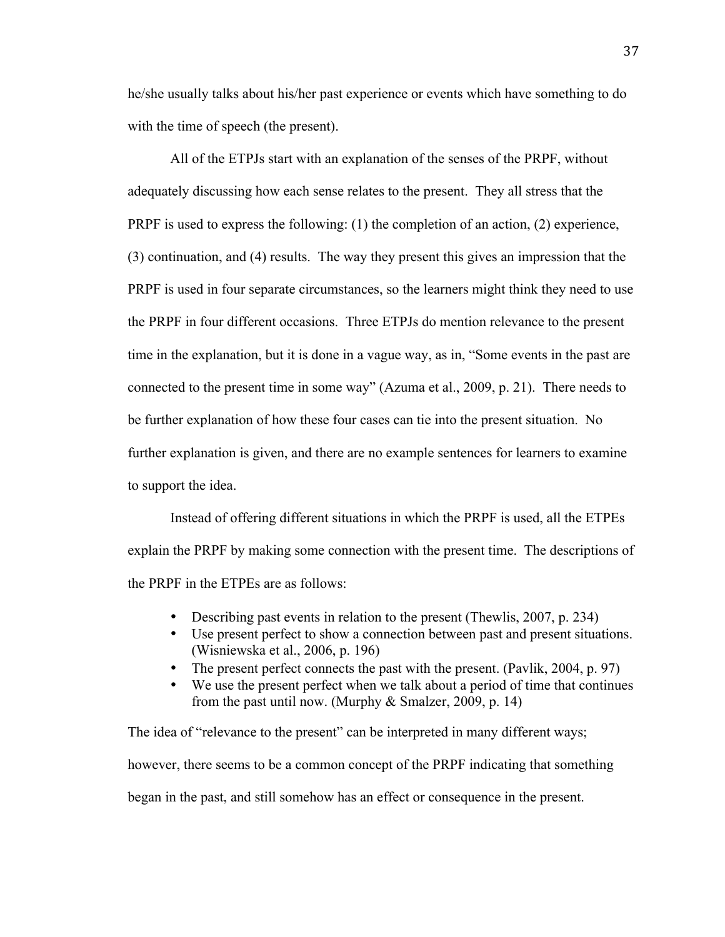he/she usually talks about his/her past experience or events which have something to do with the time of speech (the present).

All of the ETPJs start with an explanation of the senses of the PRPF, without adequately discussing how each sense relates to the present. They all stress that the PRPF is used to express the following: (1) the completion of an action, (2) experience, (3) continuation, and (4) results. The way they present this gives an impression that the PRPF is used in four separate circumstances, so the learners might think they need to use the PRPF in four different occasions. Three ETPJs do mention relevance to the present time in the explanation, but it is done in a vague way, as in, "Some events in the past are connected to the present time in some way" (Azuma et al., 2009, p. 21). There needs to be further explanation of how these four cases can tie into the present situation. No further explanation is given, and there are no example sentences for learners to examine to support the idea.

Instead of offering different situations in which the PRPF is used, all the ETPEs explain the PRPF by making some connection with the present time. The descriptions of the PRPF in the ETPEs are as follows:

- Describing past events in relation to the present (Thewlis, 2007, p. 234)
- Use present perfect to show a connection between past and present situations. (Wisniewska et al., 2006, p. 196)
- The present perfect connects the past with the present. (Pavlik, 2004, p. 97)
- We use the present perfect when we talk about a period of time that continues from the past until now. (Murphy & Smalzer, 2009, p. 14)

The idea of "relevance to the present" can be interpreted in many different ways; however, there seems to be a common concept of the PRPF indicating that something began in the past, and still somehow has an effect or consequence in the present.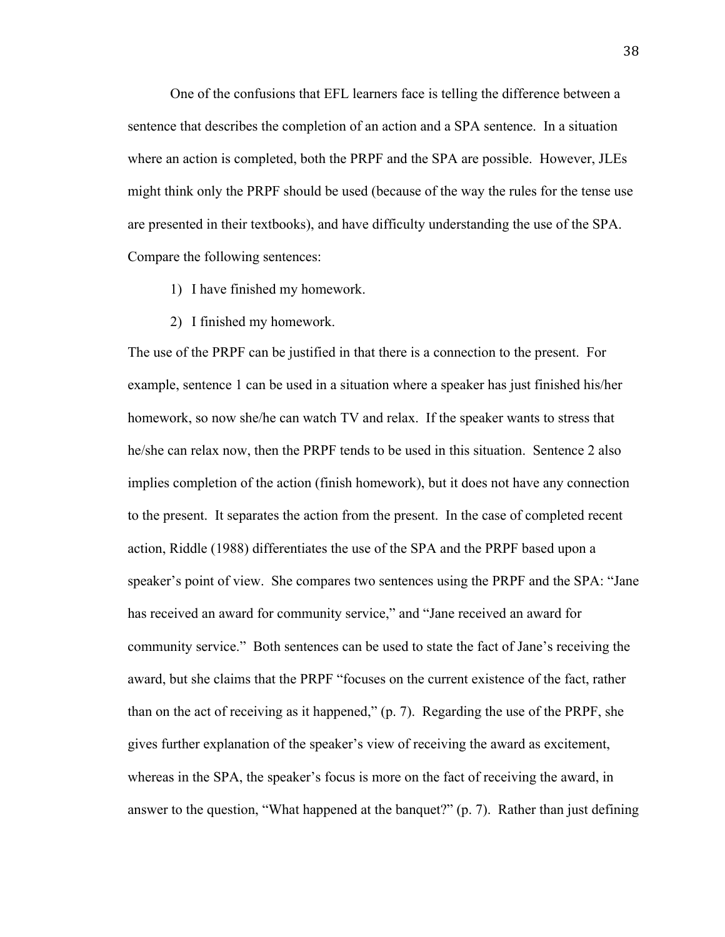One of the confusions that EFL learners face is telling the difference between a sentence that describes the completion of an action and a SPA sentence. In a situation where an action is completed, both the PRPF and the SPA are possible. However, JLEs might think only the PRPF should be used (because of the way the rules for the tense use are presented in their textbooks), and have difficulty understanding the use of the SPA. Compare the following sentences:

- 1) I have finished my homework.
- 2) I finished my homework.

The use of the PRPF can be justified in that there is a connection to the present. For example, sentence 1 can be used in a situation where a speaker has just finished his/her homework, so now she/he can watch TV and relax. If the speaker wants to stress that he/she can relax now, then the PRPF tends to be used in this situation. Sentence 2 also implies completion of the action (finish homework), but it does not have any connection to the present. It separates the action from the present. In the case of completed recent action, Riddle (1988) differentiates the use of the SPA and the PRPF based upon a speaker's point of view. She compares two sentences using the PRPF and the SPA: "Jane has received an award for community service," and "Jane received an award for community service." Both sentences can be used to state the fact of Jane's receiving the award, but she claims that the PRPF "focuses on the current existence of the fact, rather than on the act of receiving as it happened," (p. 7). Regarding the use of the PRPF, she gives further explanation of the speaker's view of receiving the award as excitement, whereas in the SPA, the speaker's focus is more on the fact of receiving the award, in answer to the question, "What happened at the banquet?" (p. 7). Rather than just defining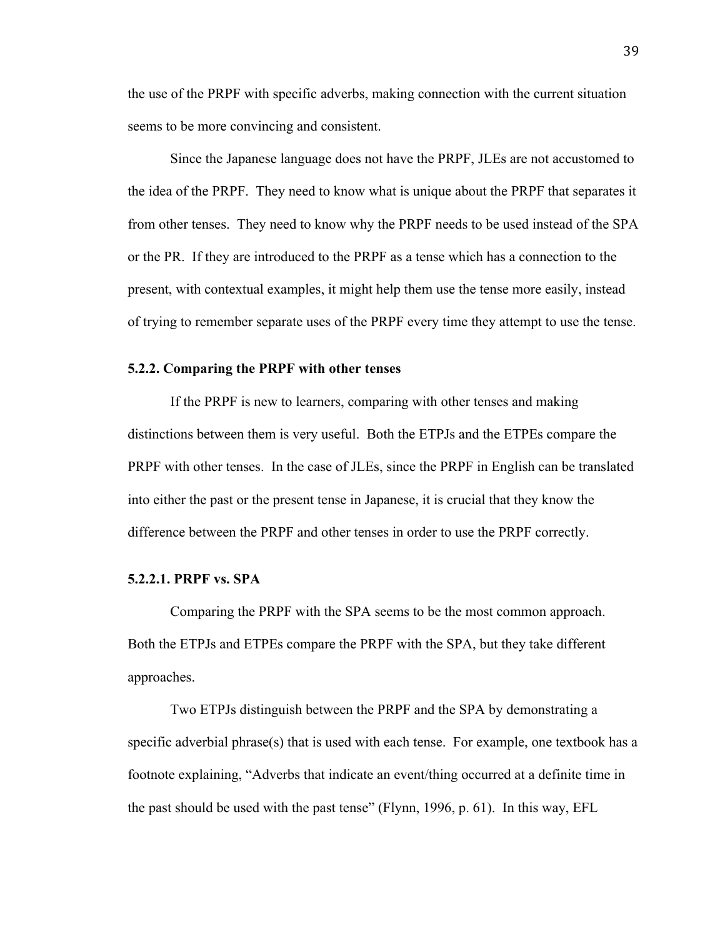the use of the PRPF with specific adverbs, making connection with the current situation seems to be more convincing and consistent.

Since the Japanese language does not have the PRPF, JLEs are not accustomed to the idea of the PRPF. They need to know what is unique about the PRPF that separates it from other tenses. They need to know why the PRPF needs to be used instead of the SPA or the PR. If they are introduced to the PRPF as a tense which has a connection to the present, with contextual examples, it might help them use the tense more easily, instead of trying to remember separate uses of the PRPF every time they attempt to use the tense.

#### **5.2.2. Comparing the PRPF with other tenses**

If the PRPF is new to learners, comparing with other tenses and making distinctions between them is very useful. Both the ETPJs and the ETPEs compare the PRPF with other tenses. In the case of JLEs, since the PRPF in English can be translated into either the past or the present tense in Japanese, it is crucial that they know the difference between the PRPF and other tenses in order to use the PRPF correctly.

### **5.2.2.1. PRPF vs. SPA**

Comparing the PRPF with the SPA seems to be the most common approach. Both the ETPJs and ETPEs compare the PRPF with the SPA, but they take different approaches.

Two ETPJs distinguish between the PRPF and the SPA by demonstrating a specific adverbial phrase(s) that is used with each tense. For example, one textbook has a footnote explaining, "Adverbs that indicate an event/thing occurred at a definite time in the past should be used with the past tense" (Flynn, 1996, p. 61). In this way, EFL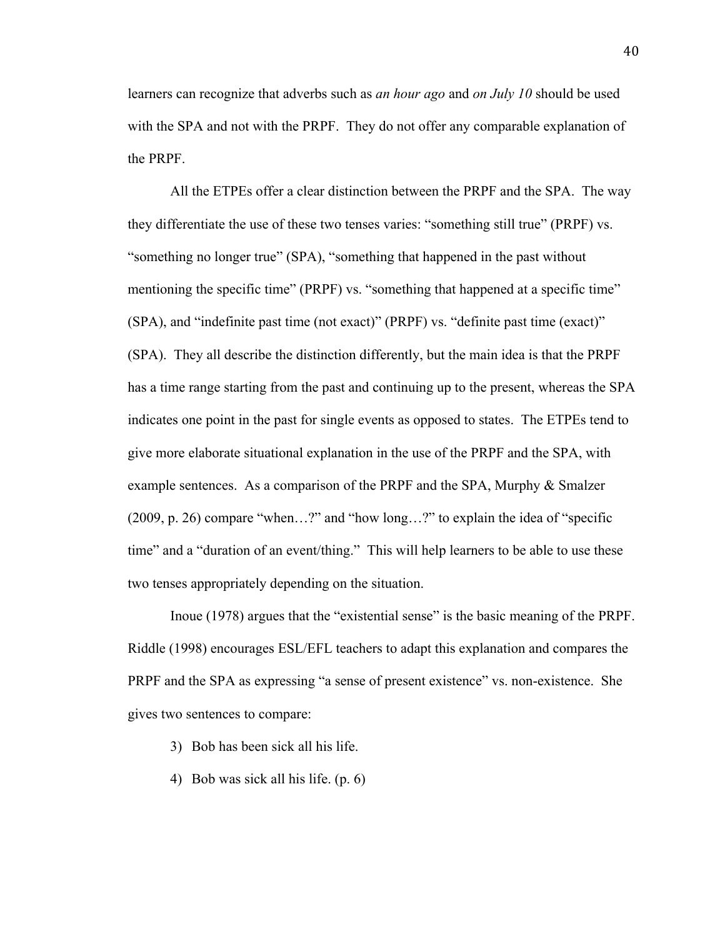learners can recognize that adverbs such as *an hour ago* and *on July 10* should be used with the SPA and not with the PRPF. They do not offer any comparable explanation of the PRPF.

All the ETPEs offer a clear distinction between the PRPF and the SPA. The way they differentiate the use of these two tenses varies: "something still true" (PRPF) vs. "something no longer true" (SPA), "something that happened in the past without mentioning the specific time" (PRPF) vs. "something that happened at a specific time" (SPA), and "indefinite past time (not exact)" (PRPF) vs. "definite past time (exact)" (SPA). They all describe the distinction differently, but the main idea is that the PRPF has a time range starting from the past and continuing up to the present, whereas the SPA indicates one point in the past for single events as opposed to states. The ETPEs tend to give more elaborate situational explanation in the use of the PRPF and the SPA, with example sentences. As a comparison of the PRPF and the SPA, Murphy & Smalzer (2009, p. 26) compare "when…?" and "how long…?" to explain the idea of "specific time" and a "duration of an event/thing." This will help learners to be able to use these two tenses appropriately depending on the situation.

Inoue (1978) argues that the "existential sense" is the basic meaning of the PRPF. Riddle (1998) encourages ESL/EFL teachers to adapt this explanation and compares the PRPF and the SPA as expressing "a sense of present existence" vs. non-existence. She gives two sentences to compare:

3) Bob has been sick all his life.

4) Bob was sick all his life. (p. 6)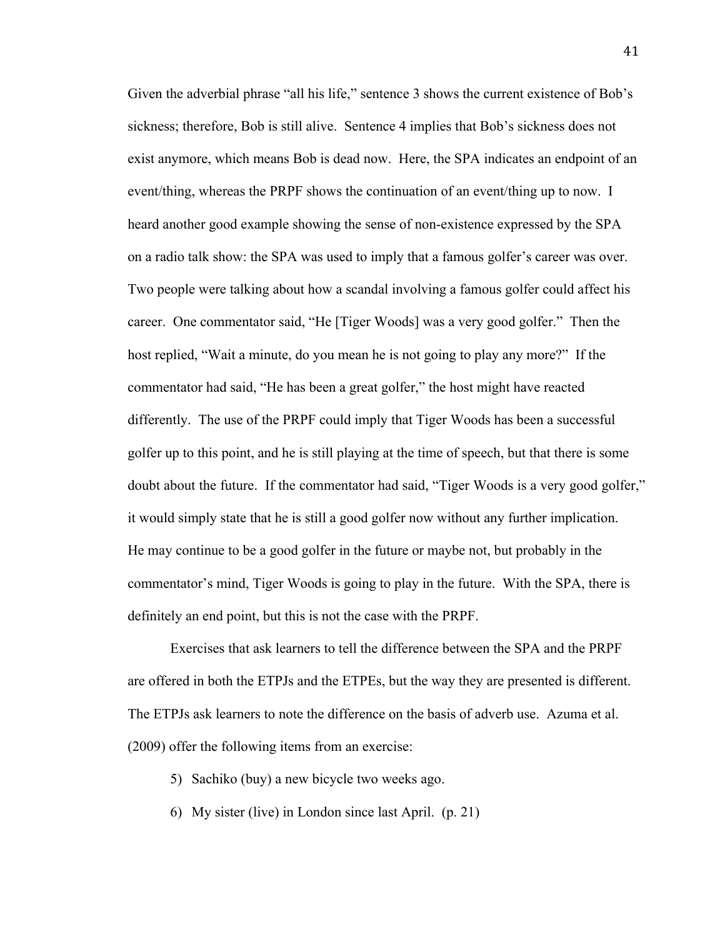Given the adverbial phrase "all his life," sentence 3 shows the current existence of Bob's sickness; therefore, Bob is still alive. Sentence 4 implies that Bob's sickness does not exist anymore, which means Bob is dead now. Here, the SPA indicates an endpoint of an event/thing, whereas the PRPF shows the continuation of an event/thing up to now. I heard another good example showing the sense of non-existence expressed by the SPA on a radio talk show: the SPA was used to imply that a famous golfer's career was over. Two people were talking about how a scandal involving a famous golfer could affect his career. One commentator said, "He [Tiger Woods] was a very good golfer." Then the host replied, "Wait a minute, do you mean he is not going to play any more?" If the commentator had said, "He has been a great golfer," the host might have reacted differently. The use of the PRPF could imply that Tiger Woods has been a successful golfer up to this point, and he is still playing at the time of speech, but that there is some doubt about the future. If the commentator had said, "Tiger Woods is a very good golfer," it would simply state that he is still a good golfer now without any further implication. He may continue to be a good golfer in the future or maybe not, but probably in the commentator's mind, Tiger Woods is going to play in the future. With the SPA, there is definitely an end point, but this is not the case with the PRPF.

Exercises that ask learners to tell the difference between the SPA and the PRPF are offered in both the ETPJs and the ETPEs, but the way they are presented is different. The ETPJs ask learners to note the difference on the basis of adverb use. Azuma et al. (2009) offer the following items from an exercise:

- 5) Sachiko (buy) a new bicycle two weeks ago.
- 6) My sister (live) in London since last April. (p. 21)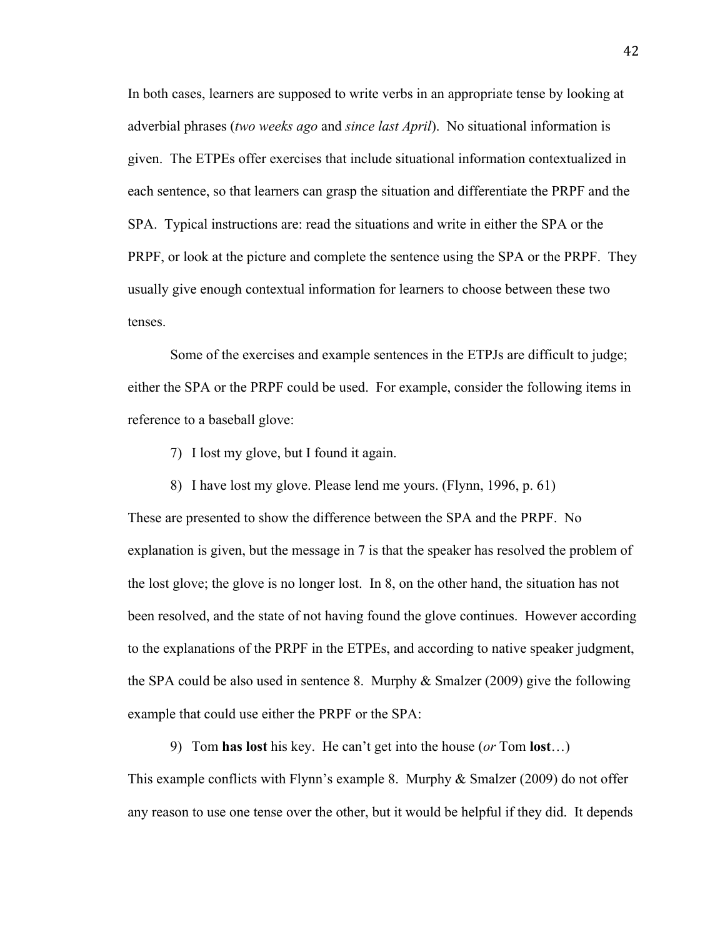In both cases, learners are supposed to write verbs in an appropriate tense by looking at adverbial phrases (*two weeks ago* and *since last April*). No situational information is given. The ETPEs offer exercises that include situational information contextualized in each sentence, so that learners can grasp the situation and differentiate the PRPF and the SPA. Typical instructions are: read the situations and write in either the SPA or the PRPF, or look at the picture and complete the sentence using the SPA or the PRPF. They usually give enough contextual information for learners to choose between these two tenses.

Some of the exercises and example sentences in the ETPJs are difficult to judge; either the SPA or the PRPF could be used. For example, consider the following items in reference to a baseball glove:

- 7) I lost my glove, but I found it again.
- 8) I have lost my glove. Please lend me yours. (Flynn, 1996, p. 61)

These are presented to show the difference between the SPA and the PRPF. No explanation is given, but the message in 7 is that the speaker has resolved the problem of the lost glove; the glove is no longer lost. In 8, on the other hand, the situation has not been resolved, and the state of not having found the glove continues. However according to the explanations of the PRPF in the ETPEs, and according to native speaker judgment, the SPA could be also used in sentence 8. Murphy  $\&$  Smalzer (2009) give the following example that could use either the PRPF or the SPA:

9) Tom **has lost** his key. He can't get into the house (*or* Tom **lost**…)

This example conflicts with Flynn's example 8. Murphy & Smalzer (2009) do not offer any reason to use one tense over the other, but it would be helpful if they did. It depends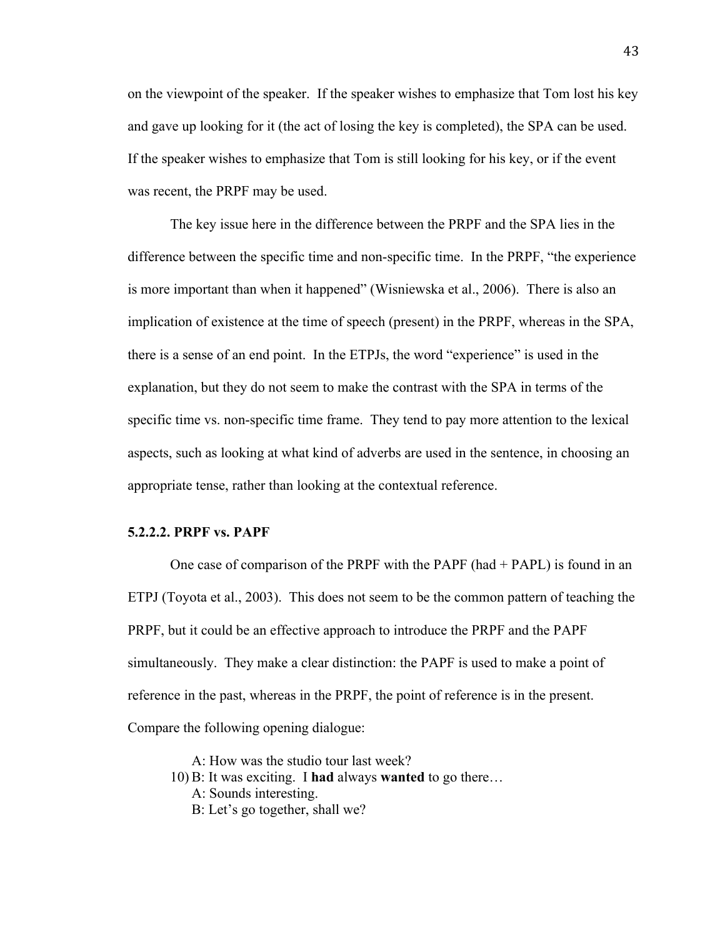on the viewpoint of the speaker. If the speaker wishes to emphasize that Tom lost his key and gave up looking for it (the act of losing the key is completed), the SPA can be used. If the speaker wishes to emphasize that Tom is still looking for his key, or if the event was recent, the PRPF may be used.

The key issue here in the difference between the PRPF and the SPA lies in the difference between the specific time and non-specific time. In the PRPF, "the experience is more important than when it happened" (Wisniewska et al., 2006). There is also an implication of existence at the time of speech (present) in the PRPF, whereas in the SPA, there is a sense of an end point. In the ETPJs, the word "experience" is used in the explanation, but they do not seem to make the contrast with the SPA in terms of the specific time vs. non-specific time frame. They tend to pay more attention to the lexical aspects, such as looking at what kind of adverbs are used in the sentence, in choosing an appropriate tense, rather than looking at the contextual reference.

### **5.2.2.2. PRPF vs. PAPF**

One case of comparison of the PRPF with the PAPF (had  $+$  PAPL) is found in an ETPJ (Toyota et al., 2003). This does not seem to be the common pattern of teaching the PRPF, but it could be an effective approach to introduce the PRPF and the PAPF simultaneously. They make a clear distinction: the PAPF is used to make a point of reference in the past, whereas in the PRPF, the point of reference is in the present. Compare the following opening dialogue:

A: How was the studio tour last week? 10) B: It was exciting. I **had** always **wanted** to go there… A: Sounds interesting. B: Let's go together, shall we?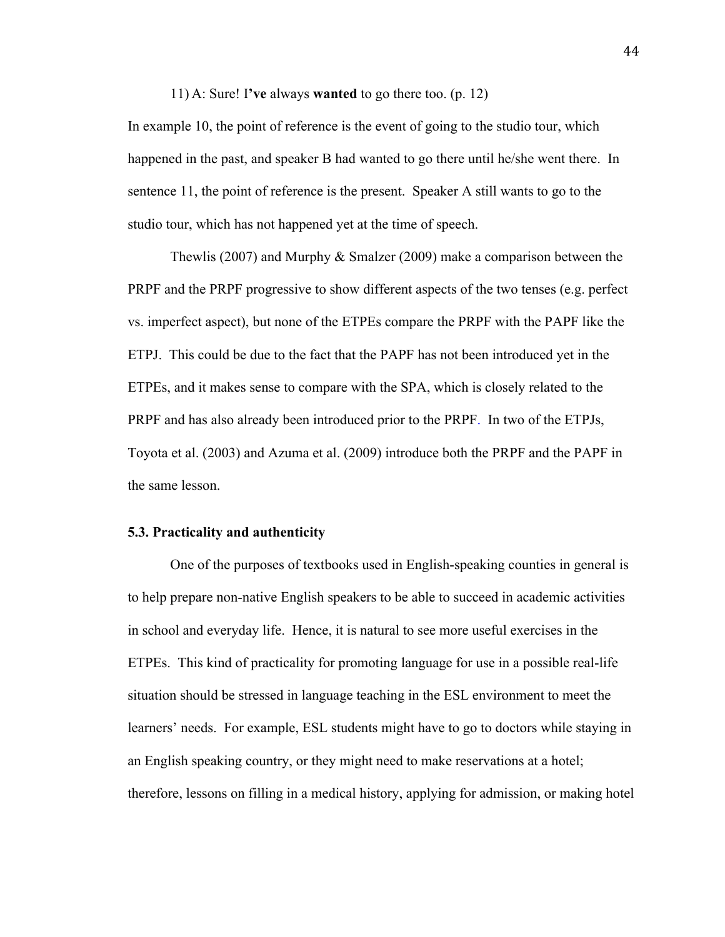11) A: Sure! I**'ve** always **wanted** to go there too. (p. 12)

In example 10, the point of reference is the event of going to the studio tour, which happened in the past, and speaker B had wanted to go there until he/she went there. In sentence 11, the point of reference is the present. Speaker A still wants to go to the studio tour, which has not happened yet at the time of speech.

Thewlis (2007) and Murphy & Smalzer (2009) make a comparison between the PRPF and the PRPF progressive to show different aspects of the two tenses (e.g. perfect vs. imperfect aspect), but none of the ETPEs compare the PRPF with the PAPF like the ETPJ. This could be due to the fact that the PAPF has not been introduced yet in the ETPEs, and it makes sense to compare with the SPA, which is closely related to the PRPF and has also already been introduced prior to the PRPF. In two of the ETPJs, Toyota et al. (2003) and Azuma et al. (2009) introduce both the PRPF and the PAPF in the same lesson.

### **5.3. Practicality and authenticity**

One of the purposes of textbooks used in English-speaking counties in general is to help prepare non-native English speakers to be able to succeed in academic activities in school and everyday life. Hence, it is natural to see more useful exercises in the ETPEs. This kind of practicality for promoting language for use in a possible real-life situation should be stressed in language teaching in the ESL environment to meet the learners' needs. For example, ESL students might have to go to doctors while staying in an English speaking country, or they might need to make reservations at a hotel; therefore, lessons on filling in a medical history, applying for admission, or making hotel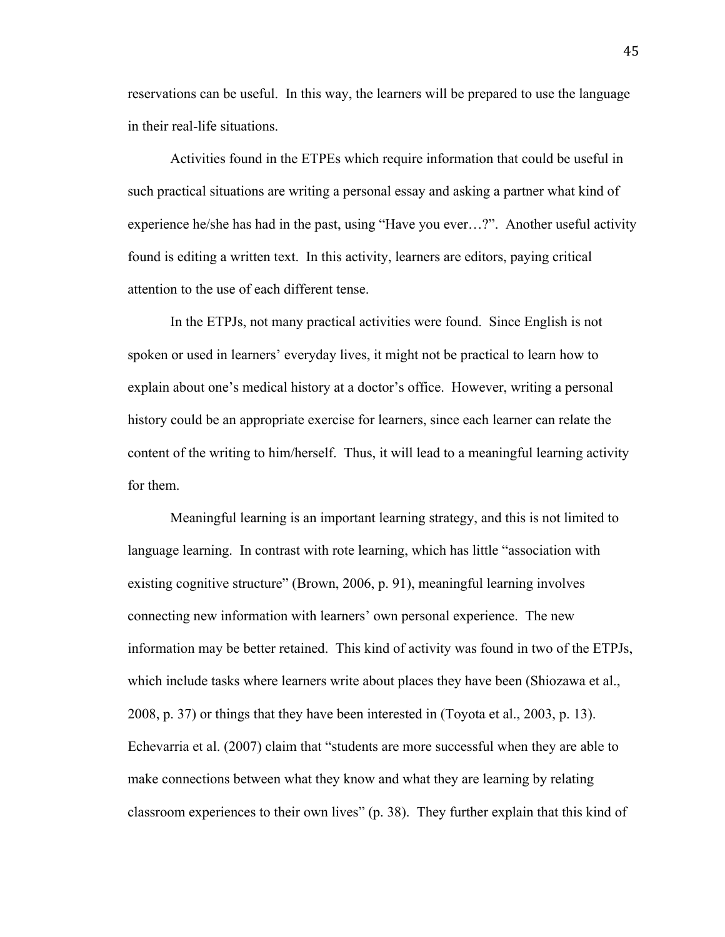reservations can be useful. In this way, the learners will be prepared to use the language in their real-life situations.

Activities found in the ETPEs which require information that could be useful in such practical situations are writing a personal essay and asking a partner what kind of experience he/she has had in the past, using "Have you ever…?". Another useful activity found is editing a written text. In this activity, learners are editors, paying critical attention to the use of each different tense.

In the ETPJs, not many practical activities were found. Since English is not spoken or used in learners' everyday lives, it might not be practical to learn how to explain about one's medical history at a doctor's office. However, writing a personal history could be an appropriate exercise for learners, since each learner can relate the content of the writing to him/herself. Thus, it will lead to a meaningful learning activity for them.

Meaningful learning is an important learning strategy, and this is not limited to language learning. In contrast with rote learning, which has little "association with existing cognitive structure" (Brown, 2006, p. 91), meaningful learning involves connecting new information with learners' own personal experience. The new information may be better retained. This kind of activity was found in two of the ETPJs, which include tasks where learners write about places they have been (Shiozawa et al., 2008, p. 37) or things that they have been interested in (Toyota et al., 2003, p. 13). Echevarria et al. (2007) claim that "students are more successful when they are able to make connections between what they know and what they are learning by relating classroom experiences to their own lives" (p. 38). They further explain that this kind of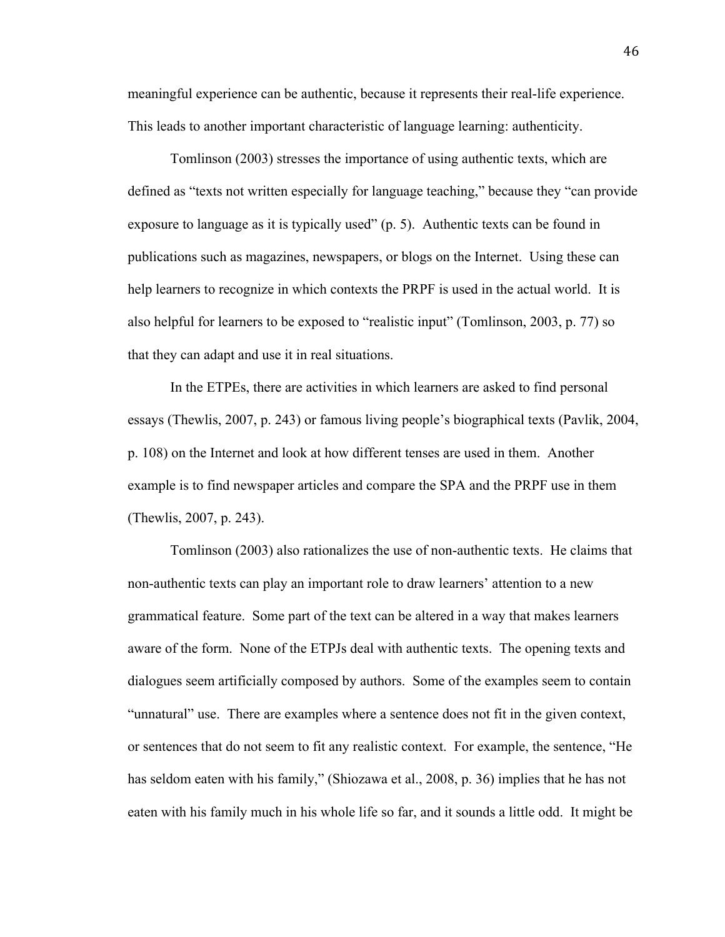meaningful experience can be authentic, because it represents their real-life experience. This leads to another important characteristic of language learning: authenticity.

Tomlinson (2003) stresses the importance of using authentic texts, which are defined as "texts not written especially for language teaching," because they "can provide exposure to language as it is typically used" (p. 5). Authentic texts can be found in publications such as magazines, newspapers, or blogs on the Internet. Using these can help learners to recognize in which contexts the PRPF is used in the actual world. It is also helpful for learners to be exposed to "realistic input" (Tomlinson, 2003, p. 77) so that they can adapt and use it in real situations.

In the ETPEs, there are activities in which learners are asked to find personal essays (Thewlis, 2007, p. 243) or famous living people's biographical texts (Pavlik, 2004, p. 108) on the Internet and look at how different tenses are used in them. Another example is to find newspaper articles and compare the SPA and the PRPF use in them (Thewlis, 2007, p. 243).

Tomlinson (2003) also rationalizes the use of non-authentic texts. He claims that non-authentic texts can play an important role to draw learners' attention to a new grammatical feature. Some part of the text can be altered in a way that makes learners aware of the form. None of the ETPJs deal with authentic texts. The opening texts and dialogues seem artificially composed by authors. Some of the examples seem to contain "unnatural" use. There are examples where a sentence does not fit in the given context, or sentences that do not seem to fit any realistic context. For example, the sentence, "He has seldom eaten with his family," (Shiozawa et al., 2008, p. 36) implies that he has not eaten with his family much in his whole life so far, and it sounds a little odd. It might be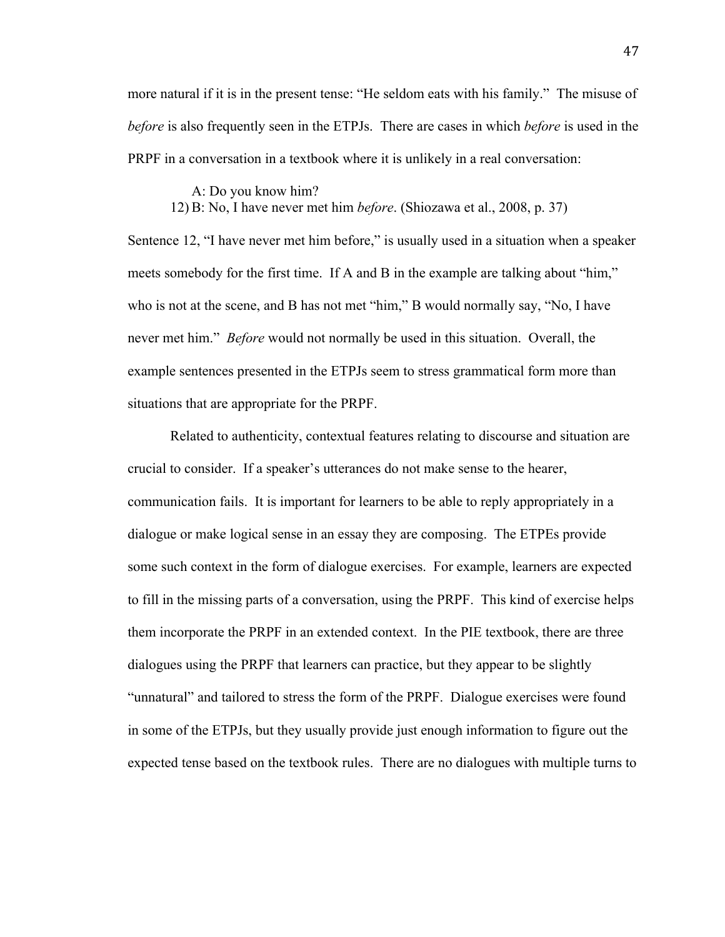more natural if it is in the present tense: "He seldom eats with his family." The misuse of *before* is also frequently seen in the ETPJs. There are cases in which *before* is used in the PRPF in a conversation in a textbook where it is unlikely in a real conversation:

### A: Do you know him?

12) B: No, I have never met him *before*. (Shiozawa et al., 2008, p. 37)

Sentence 12, "I have never met him before," is usually used in a situation when a speaker meets somebody for the first time. If A and B in the example are talking about "him," who is not at the scene, and B has not met "him," B would normally say, "No, I have never met him." *Before* would not normally be used in this situation. Overall, the example sentences presented in the ETPJs seem to stress grammatical form more than situations that are appropriate for the PRPF.

Related to authenticity, contextual features relating to discourse and situation are crucial to consider. If a speaker's utterances do not make sense to the hearer, communication fails. It is important for learners to be able to reply appropriately in a dialogue or make logical sense in an essay they are composing. The ETPEs provide some such context in the form of dialogue exercises. For example, learners are expected to fill in the missing parts of a conversation, using the PRPF. This kind of exercise helps them incorporate the PRPF in an extended context. In the PIE textbook, there are three dialogues using the PRPF that learners can practice, but they appear to be slightly "unnatural" and tailored to stress the form of the PRPF. Dialogue exercises were found in some of the ETPJs, but they usually provide just enough information to figure out the expected tense based on the textbook rules. There are no dialogues with multiple turns to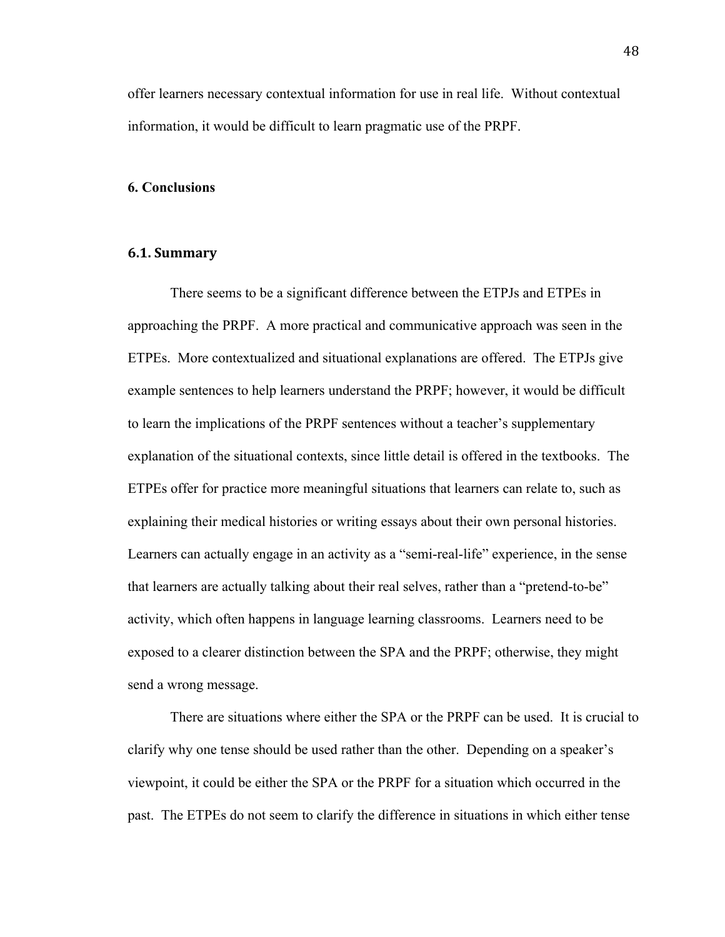offer learners necessary contextual information for use in real life. Without contextual information, it would be difficult to learn pragmatic use of the PRPF.

### **6. Conclusions**

### **6.1.\$Summary**

There seems to be a significant difference between the ETPJs and ETPEs in approaching the PRPF. A more practical and communicative approach was seen in the ETPEs. More contextualized and situational explanations are offered. The ETPJs give example sentences to help learners understand the PRPF; however, it would be difficult to learn the implications of the PRPF sentences without a teacher's supplementary explanation of the situational contexts, since little detail is offered in the textbooks. The ETPEs offer for practice more meaningful situations that learners can relate to, such as explaining their medical histories or writing essays about their own personal histories. Learners can actually engage in an activity as a "semi-real-life" experience, in the sense that learners are actually talking about their real selves, rather than a "pretend-to-be" activity, which often happens in language learning classrooms. Learners need to be exposed to a clearer distinction between the SPA and the PRPF; otherwise, they might send a wrong message.

There are situations where either the SPA or the PRPF can be used. It is crucial to clarify why one tense should be used rather than the other. Depending on a speaker's viewpoint, it could be either the SPA or the PRPF for a situation which occurred in the past. The ETPEs do not seem to clarify the difference in situations in which either tense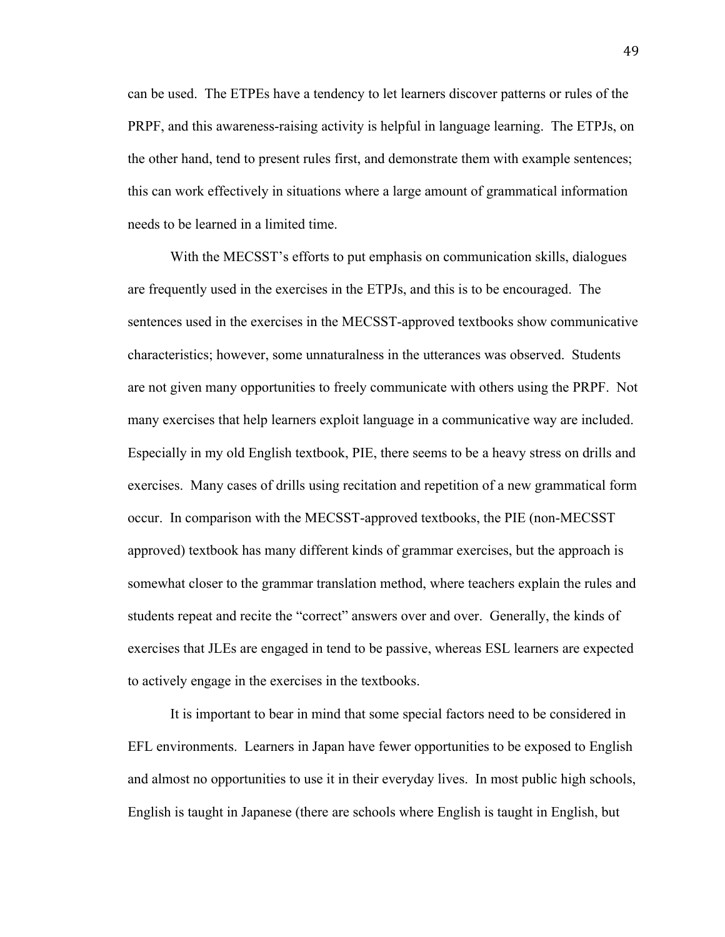can be used. The ETPEs have a tendency to let learners discover patterns or rules of the PRPF, and this awareness-raising activity is helpful in language learning. The ETPJs, on the other hand, tend to present rules first, and demonstrate them with example sentences; this can work effectively in situations where a large amount of grammatical information needs to be learned in a limited time.

With the MECSST's efforts to put emphasis on communication skills, dialogues are frequently used in the exercises in the ETPJs, and this is to be encouraged. The sentences used in the exercises in the MECSST-approved textbooks show communicative characteristics; however, some unnaturalness in the utterances was observed. Students are not given many opportunities to freely communicate with others using the PRPF. Not many exercises that help learners exploit language in a communicative way are included. Especially in my old English textbook, PIE, there seems to be a heavy stress on drills and exercises. Many cases of drills using recitation and repetition of a new grammatical form occur. In comparison with the MECSST-approved textbooks, the PIE (non-MECSST approved) textbook has many different kinds of grammar exercises, but the approach is somewhat closer to the grammar translation method, where teachers explain the rules and students repeat and recite the "correct" answers over and over. Generally, the kinds of exercises that JLEs are engaged in tend to be passive, whereas ESL learners are expected to actively engage in the exercises in the textbooks.

It is important to bear in mind that some special factors need to be considered in EFL environments. Learners in Japan have fewer opportunities to be exposed to English and almost no opportunities to use it in their everyday lives. In most public high schools, English is taught in Japanese (there are schools where English is taught in English, but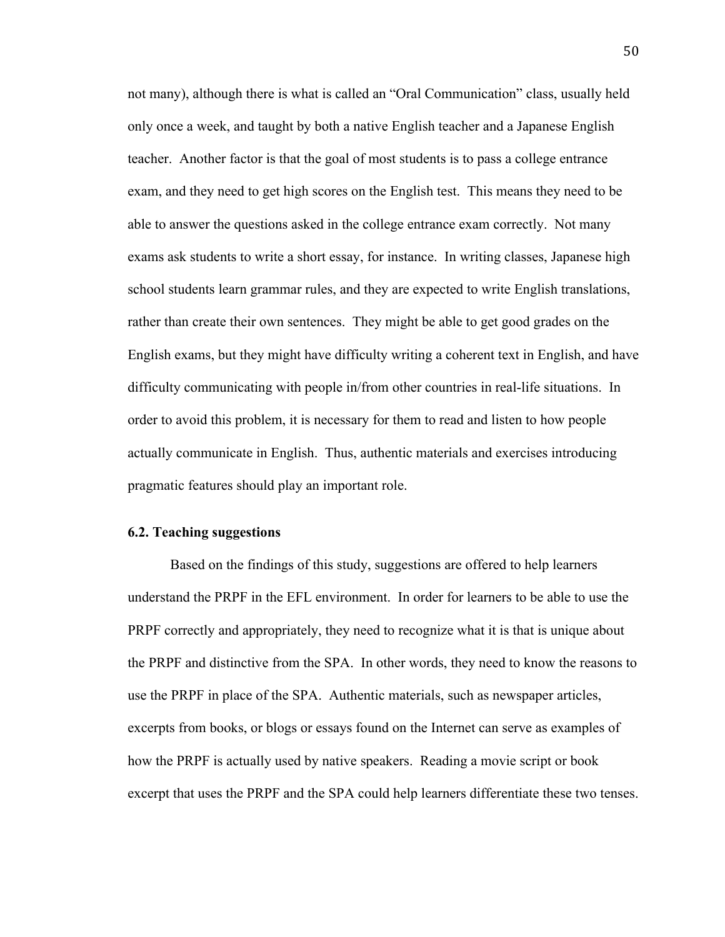not many), although there is what is called an "Oral Communication" class, usually held only once a week, and taught by both a native English teacher and a Japanese English teacher. Another factor is that the goal of most students is to pass a college entrance exam, and they need to get high scores on the English test. This means they need to be able to answer the questions asked in the college entrance exam correctly. Not many exams ask students to write a short essay, for instance. In writing classes, Japanese high school students learn grammar rules, and they are expected to write English translations, rather than create their own sentences. They might be able to get good grades on the English exams, but they might have difficulty writing a coherent text in English, and have difficulty communicating with people in/from other countries in real-life situations. In order to avoid this problem, it is necessary for them to read and listen to how people actually communicate in English. Thus, authentic materials and exercises introducing pragmatic features should play an important role.

### **6.2. Teaching suggestions**

Based on the findings of this study, suggestions are offered to help learners understand the PRPF in the EFL environment. In order for learners to be able to use the PRPF correctly and appropriately, they need to recognize what it is that is unique about the PRPF and distinctive from the SPA. In other words, they need to know the reasons to use the PRPF in place of the SPA. Authentic materials, such as newspaper articles, excerpts from books, or blogs or essays found on the Internet can serve as examples of how the PRPF is actually used by native speakers. Reading a movie script or book excerpt that uses the PRPF and the SPA could help learners differentiate these two tenses.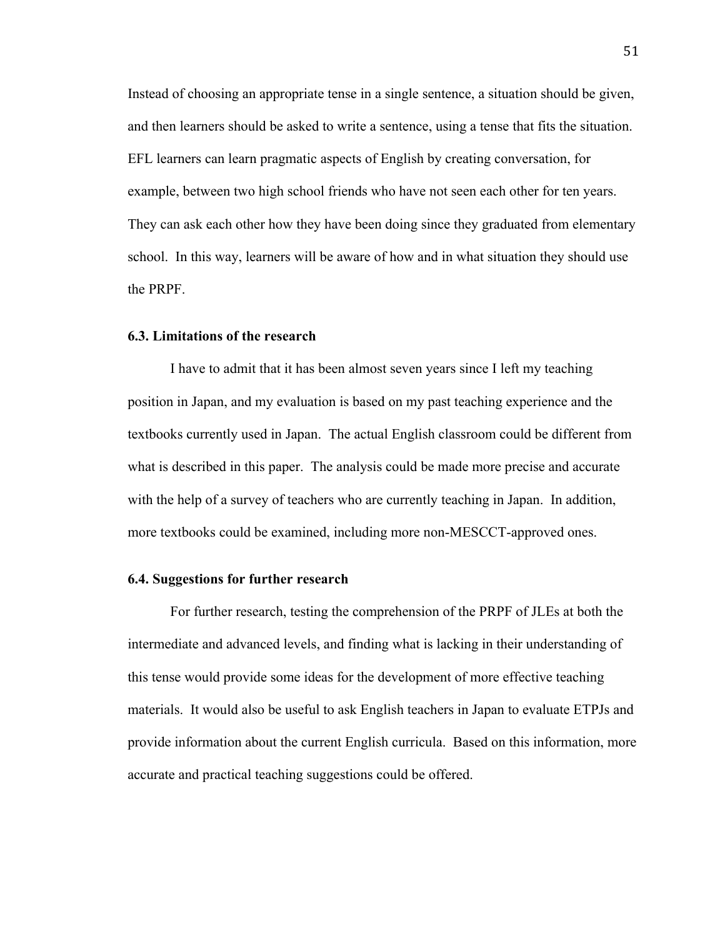Instead of choosing an appropriate tense in a single sentence, a situation should be given, and then learners should be asked to write a sentence, using a tense that fits the situation. EFL learners can learn pragmatic aspects of English by creating conversation, for example, between two high school friends who have not seen each other for ten years. They can ask each other how they have been doing since they graduated from elementary school. In this way, learners will be aware of how and in what situation they should use the PRPF.

### **6.3. Limitations of the research**

I have to admit that it has been almost seven years since I left my teaching position in Japan, and my evaluation is based on my past teaching experience and the textbooks currently used in Japan. The actual English classroom could be different from what is described in this paper. The analysis could be made more precise and accurate with the help of a survey of teachers who are currently teaching in Japan. In addition, more textbooks could be examined, including more non-MESCCT-approved ones.

### **6.4. Suggestions for further research**

For further research, testing the comprehension of the PRPF of JLEs at both the intermediate and advanced levels, and finding what is lacking in their understanding of this tense would provide some ideas for the development of more effective teaching materials. It would also be useful to ask English teachers in Japan to evaluate ETPJs and provide information about the current English curricula. Based on this information, more accurate and practical teaching suggestions could be offered.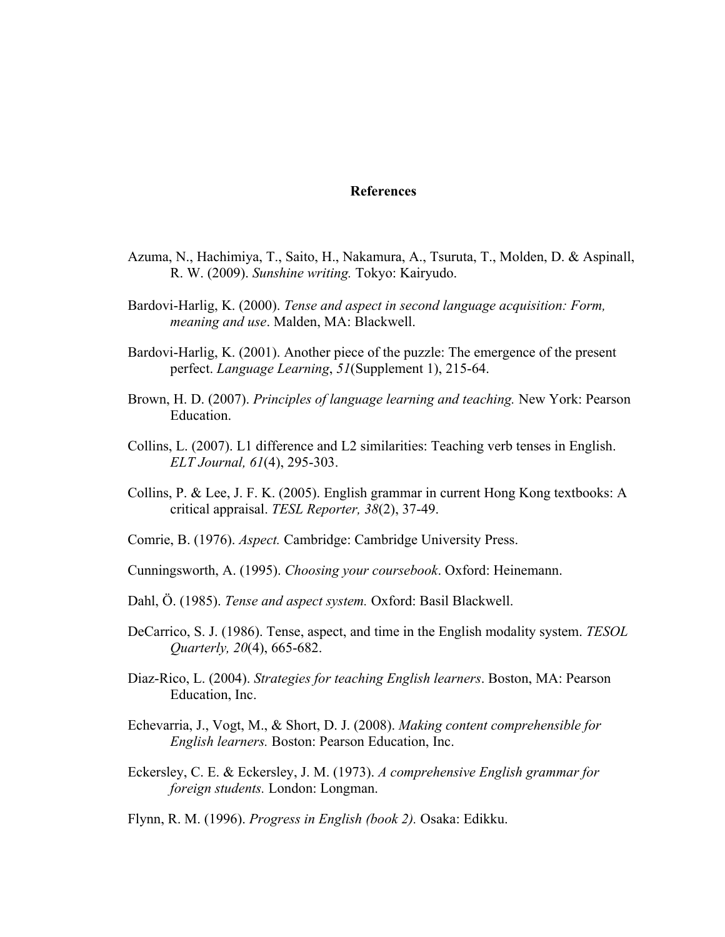### **References**

- Azuma, N., Hachimiya, T., Saito, H., Nakamura, A., Tsuruta, T., Molden, D. & Aspinall, R. W. (2009). *Sunshine writing.* Tokyo: Kairyudo.
- Bardovi-Harlig, K. (2000). *Tense and aspect in second language acquisition: Form, meaning and use*. Malden, MA: Blackwell.
- Bardovi-Harlig, K. (2001). Another piece of the puzzle: The emergence of the present perfect. *Language Learning*, *51*(Supplement 1), 215-64.
- Brown, H. D. (2007). *Principles of language learning and teaching.* New York: Pearson Education.
- Collins, L. (2007). L1 difference and L2 similarities: Teaching verb tenses in English. *ELT Journal, 61*(4), 295-303.
- Collins, P. & Lee, J. F. K. (2005). English grammar in current Hong Kong textbooks: A critical appraisal. *TESL Reporter, 38*(2), 37-49.
- Comrie, B. (1976). *Aspect.* Cambridge: Cambridge University Press.
- Cunningsworth, A. (1995). *Choosing your coursebook*. Oxford: Heinemann.
- Dahl, Ö. (1985). *Tense and aspect system.* Oxford: Basil Blackwell.
- DeCarrico, S. J. (1986). Tense, aspect, and time in the English modality system. *TESOL Quarterly, 20*(4), 665-682.
- Diaz-Rico, L. (2004). *Strategies for teaching English learners*. Boston, MA: Pearson Education, Inc.
- Echevarria, J., Vogt, M., & Short, D. J. (2008). *Making content comprehensible for English learners.* Boston: Pearson Education, Inc.
- Eckersley, C. E. & Eckersley, J. M. (1973). *A comprehensive English grammar for foreign students.* London: Longman.

Flynn, R. M. (1996). *Progress in English (book 2).* Osaka: Edikku.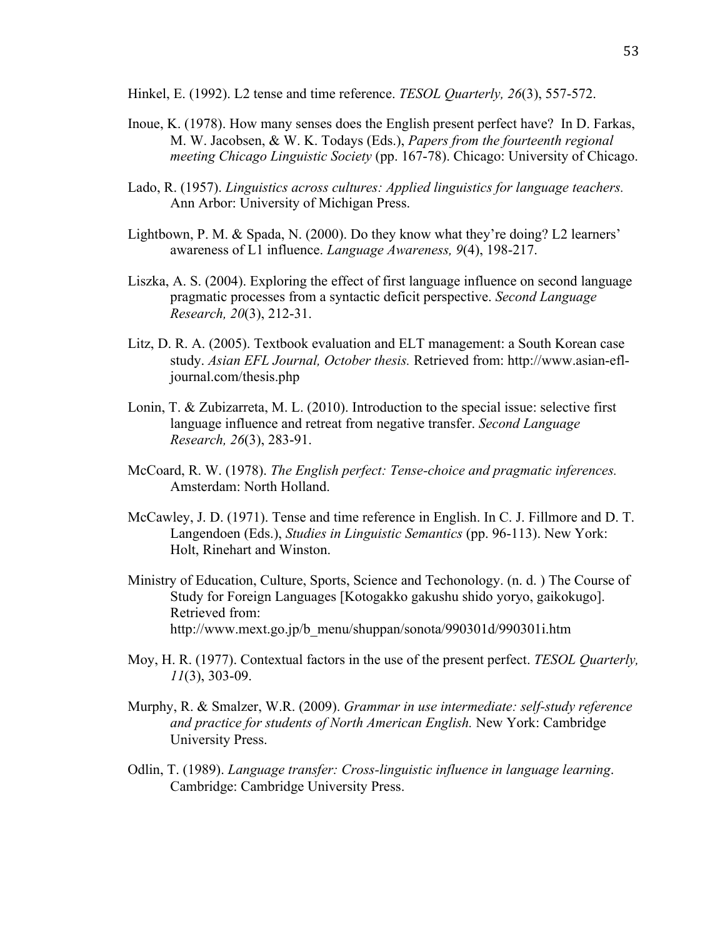Hinkel, E. (1992). L2 tense and time reference. *TESOL Quarterly, 26*(3), 557-572.

- Inoue, K. (1978). How many senses does the English present perfect have? In D. Farkas, M. W. Jacobsen, & W. K. Todays (Eds.), *Papers from the fourteenth regional meeting Chicago Linguistic Society* (pp. 167-78). Chicago: University of Chicago.
- Lado, R. (1957). *Linguistics across cultures: Applied linguistics for language teachers.* Ann Arbor: University of Michigan Press.
- Lightbown, P. M. & Spada, N. (2000). Do they know what they're doing? L2 learners' awareness of L1 influence. *Language Awareness, 9*(4), 198-217.
- Liszka, A. S. (2004). Exploring the effect of first language influence on second language pragmatic processes from a syntactic deficit perspective. *Second Language Research, 20*(3), 212-31.
- Litz, D. R. A. (2005). Textbook evaluation and ELT management: a South Korean case study. *Asian EFL Journal, October thesis.* Retrieved from: http://www.asian-efljournal.com/thesis.php
- Lonin, T. & Zubizarreta, M. L. (2010). Introduction to the special issue: selective first language influence and retreat from negative transfer. *Second Language Research, 26*(3), 283-91.
- McCoard, R. W. (1978). *The English perfect: Tense-choice and pragmatic inferences.*  Amsterdam: North Holland.
- McCawley, J. D. (1971). Tense and time reference in English. In C. J. Fillmore and D. T. Langendoen (Eds.), *Studies in Linguistic Semantics* (pp. 96-113). New York: Holt, Rinehart and Winston.
- Ministry of Education, Culture, Sports, Science and Techonology. (n. d. ) The Course of Study for Foreign Languages [Kotogakko gakushu shido yoryo, gaikokugo]. Retrieved from: http://www.mext.go.jp/b\_menu/shuppan/sonota/990301d/990301i.htm
- Moy, H. R. (1977). Contextual factors in the use of the present perfect. *TESOL Quarterly, 11*(3), 303-09.
- Murphy, R. & Smalzer, W.R. (2009). *Grammar in use intermediate: self-study reference and practice for students of North American English.* New York: Cambridge University Press.
- Odlin, T. (1989). *Language transfer: Cross-linguistic influence in language learning*. Cambridge: Cambridge University Press.